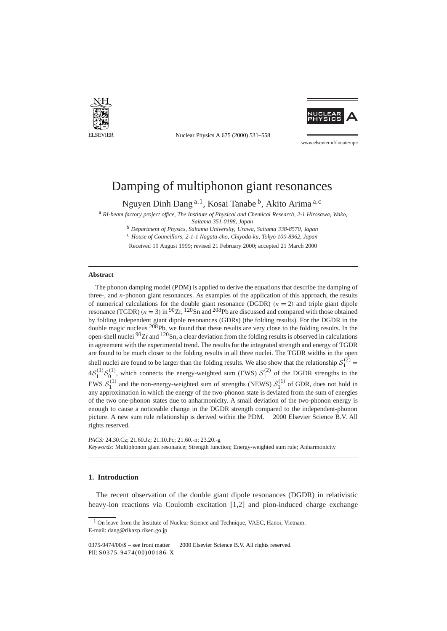

Nuclear Physics A 675 (2000) 531–558



www.elsevier.nl/locate/npe

# Damping of multiphonon giant resonances

Nguyen Dinh Dang <sup>a</sup>*,*1, Kosai Tanabe b, Akito Arima <sup>a</sup>*,*<sup>c</sup>

<sup>a</sup> *RI-beam factory project office, The Institute of Physical and Chemical Research, 2-1 Hirosawa, Wako,*

*Saitama 351-0198, Japan*

<sup>b</sup> *Department of Physics, Saitama University, Urawa, Saitama 338-8570, Japan*

<sup>c</sup> *House of Councillors, 2-1-1 Nagata-cho, Chiyoda-ku, Tokyo 100-8962, Japan*

Received 19 August 1999; revised 21 February 2000; accepted 21 March 2000

#### **Abstract**

The phonon damping model (PDM) is applied to derive the equations that describe the damping of three-, and *n*-phonon giant resonances. As examples of the application of this approach, the results of numerical calculations for the double giant resonance (DGDR)  $(n = 2)$  and triple giant dipole resonance (TGDR)  $(n = 3)$  in <sup>90</sup>Zr, <sup>120</sup>Sn and <sup>208</sup>Pb are discussed and compared with those obtained by folding independent giant dipole resonances (GDRs) (the folding results). For the DGDR in the double magic nucleus <sup>208</sup>Pb, we found that these results are very close to the folding results. In the open-shell nuclei  $90Zr$  and  $120Sn$ , a clear deviation from the folding results is observed in calculations in agreement with the experimental trend. The results for the integrated strength and energy of TGDR are found to be much closer to the folding results in all three nuclei. The TGDR widths in the open shell nuclei are found to be larger than the folding results. We also show that the relationship  $S_1^{(2)}$  =  $4S_1^{(1)}S_0^{(1)}$ , which connects the energy-weighted sum (EWS)  $S_1^{(2)}$  of the DGDR strengths to the EWS  $S_1^{(1)}$  and the non-energy-weighted sum of strengths (NEWS)  $S_1^{(1)}$  of GDR, does not hold in any approximation in which the energy of the two-phonon state is deviated from the sum of energies of the two one-phonon states due to anharmonicity. A small deviation of the two-phonon energy is enough to cause a noticeable change in the DGDR strength compared to the independent-phonon picture. A new sum rule relationship is derived within the PDM.  $\odot$  2000 Elsevier Science B.V. All rights reserved.

*PACS:* 24.30.Cz; 21.60.Jz; 21.10.Pc; 21.60.-n; 23.20.-g *Keywords:* Multiphonon giant resonance; Strength function; Energy-weighted sum rule; Anharmonicity

## **1. Introduction**

The recent observation of the double giant dipole resonances (DGDR) in relativistic heavy-ion reactions via Coulomb excitation [1,2] and pion-induced charge exchange

<sup>&</sup>lt;sup>1</sup> On leave from the Institute of Nuclear Science and Technique, VAEC, Hanoi, Vietnam. E-mail: dang@rikaxp.riken.go.jp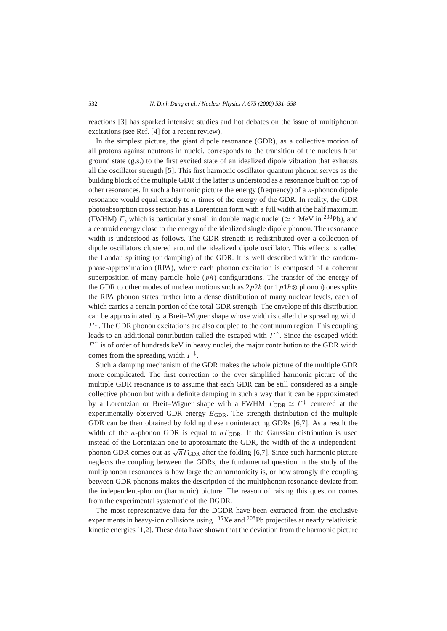reactions [3] has sparked intensive studies and hot debates on the issue of multiphonon excitations (see Ref. [4] for a recent review).

In the simplest picture, the giant dipole resonance (GDR), as a collective motion of all protons against neutrons in nuclei, corresponds to the transition of the nucleus from ground state (g.s.) to the first excited state of an idealized dipole vibration that exhausts all the oscillator strength [5]. This first harmonic oscillator quantum phonon serves as the building block of the multiple GDR if the latter is understood as a resonance built on top of other resonances. In such a harmonic picture the energy (frequency) of a *n*-phonon dipole resonance would equal exactly to *n* times of the energy of the GDR. In reality, the GDR photoabsorption cross section has a Lorentzian form with a full width at the half maximum (FWHM) *Γ*, which is particularly small in double magic nuclei ( $\simeq$  4 MeV in <sup>208</sup>Pb), and a centroid energy close to the energy of the idealized single dipole phonon. The resonance width is understood as follows. The GDR strength is redistributed over a collection of dipole oscillators clustered around the idealized dipole oscillator. This effects is called the Landau splitting (or damping) of the GDR. It is well described within the randomphase-approximation (RPA), where each phonon excitation is composed of a coherent superposition of many particle–hole (*ph*) configurations. The transfer of the energy of the GDR to other modes of nuclear motions such as  $2p2h$  (or  $1p1h\otimes$  phonon) ones splits the RPA phonon states further into a dense distribution of many nuclear levels, each of which carries a certain portion of the total GDR strength. The envelope of this distribution can be approximated by a Breit–Wigner shape whose width is called the spreading width  $\Gamma^{\downarrow}$ . The GDR phonon excitations are also coupled to the continuum region. This coupling leads to an additional contribution called the escaped with  $\Gamma^{\uparrow}$ . Since the escaped width  $\Gamma^{\uparrow}$  is of order of hundreds keV in heavy nuclei, the major contribution to the GDR width comes from the spreading width *Γ* <sup>↓</sup>.

Such a damping mechanism of the GDR makes the whole picture of the multiple GDR more complicated. The first correction to the over simplified harmonic picture of the multiple GDR resonance is to assume that each GDR can be still considered as a single collective phonon but with a definite damping in such a way that it can be approximated by a Lorentzian or Breit–Wigner shape with a FWHM  $\Gamma_{\text{GDR}} \simeq \Gamma^{\downarrow}$  centered at the experimentally observed GDR energy  $E_{GDR}$ . The strength distribution of the multiple GDR can be then obtained by folding these noninteracting GDRs [6,7]. As a result the width of the *n*-phonon GDR is equal to *nΓ*<sub>GDR</sub>. If the Gaussian distribution is used instead of the Lorentzian one to approximate the GDR, the width of the *n*-independentphonon GDR comes out as  $\sqrt{n} \Gamma_{\text{GDR}}$  after the folding [6,7]. Since such harmonic picture neglects the coupling between the GDRs, the fundamental question in the study of the multiphonon resonances is how large the anharmonicity is, or how strongly the coupling between GDR phonons makes the description of the multiphonon resonance deviate from the independent-phonon (harmonic) picture. The reason of raising this question comes from the experimental systematic of the DGDR.

The most representative data for the DGDR have been extracted from the exclusive experiments in heavy-ion collisions using 135Xe and 208Pb projectiles at nearly relativistic kinetic energies [1,2]. These data have shown that the deviation from the harmonic picture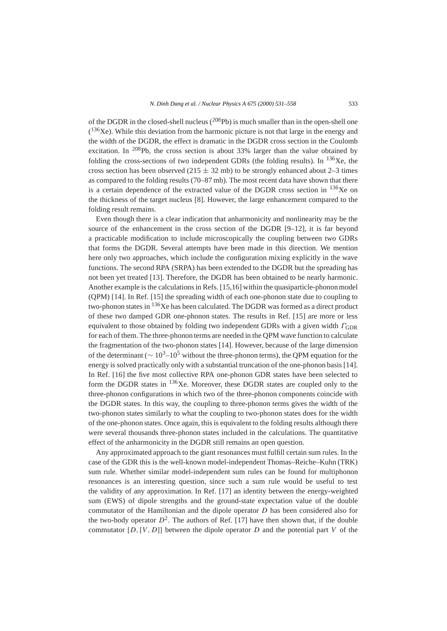of the DGDR in the closed-shell nucleus  $(^{208}Pb)$  is much smaller than in the open-shell one  $(136Xe)$ . While this deviation from the harmonic picture is not that large in the energy and the width of the DGDR, the effect is dramatic in the DGDR cross section in the Coulomb excitation. In <sup>208</sup>Pb, the cross section is about  $33\%$  larger than the value obtained by folding the cross-sections of two independent GDRs (the folding results). In  $^{136}Xe$ , the cross section has been observed ( $215 \pm 32$  mb) to be strongly enhanced about 2–3 times as compared to the folding results (70–87 mb). The most recent data have shown that there is a certain dependence of the extracted value of the DGDR cross section in  $^{136}$ Xe on the thickness of the target nucleus [8]. However, the large enhancement compared to the folding result remains.

Even though there is a clear indication that anharmonicity and nonlinearity may be the source of the enhancement in the cross section of the DGDR [9–12], it is far beyond a practicable modification to include microscopically the coupling between two GDRs that forms the DGDR. Several attempts have been made in this direction. We mention here only two approaches, which include the configuration mixing explicitly in the wave functions. The second RPA (SRPA) has been extended to the DGDR but the spreading has not been yet treated [13]. Therefore, the DGDR has been obtained to be nearly harmonic. Another example is the calculations in Refs. [15,16] within the quasiparticle-phonon model (QPM) [14]. In Ref. [15] the spreading width of each one-phonon state due to coupling to two-phonon states in 136Xe has been calculated. The DGDR was formed as a direct product of these two damped GDR one-phonon states. The results in Ref. [15] are more or less equivalent to those obtained by folding two independent GDRs with a given width *Γ*GDR for each of them. The three-phonon terms are needed in the QPM wave function to calculate the fragmentation of the two-phonon states [14]. However, because of the large dimension of the determinant ( $\sim 10^3$ – $10^5$  without the three-phonon terms), the QPM equation for the energy is solved practically only with a substantial truncation of the one-phonon basis [14]. In Ref. [16] the five most collective RPA one-phonon GDR states have been selected to form the DGDR states in  $^{136}$ Xe. Moreover, these DGDR states are coupled only to the three-phonon configurations in which two of the three-phonon components coincide with the DGDR states. In this way, the coupling to three-phonon terms gives the width of the two-phonon states similarly to what the coupling to two-phonon states does for the width of the one-phonon states. Once again, this is equivalent to the folding results although there were several thousands three-phonon states included in the calculations. The quantitative effect of the anharmonicity in the DGDR still remains an open question.

Any approximated approach to the giant resonances must fulfill certain sum rules. In the case of the GDR this is the well-known model-independent Thomas–Reiche–Kuhn (TRK) sum rule. Whether similar model-independent sum rules can be found for multiphonon resonances is an interesting question, since such a sum rule would be useful to test the validity of any approximation. In Ref. [17] an identity between the energy-weighted sum (EWS) of dipole strengths and the ground-state expectation value of the double commutator of the Hamiltonian and the dipole operator *D* has been considered also for the two-body operator  $D^2$ . The authors of Ref. [17] have then shown that, if the double commutator  $[D, [V, D]]$  between the dipole operator  $D$  and the potential part  $V$  of the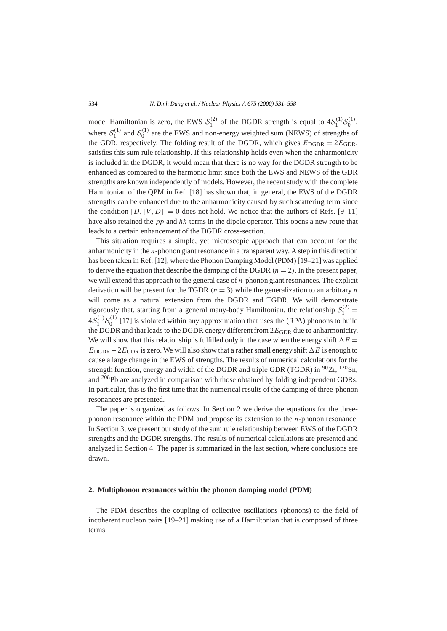model Hamiltonian is zero, the EWS  $S_1^{(2)}$  of the DGDR strength is equal to  $4S_1^{(1)}S_0^{(1)}$ , where  $S_1^{(1)}$  and  $S_0^{(1)}$  are the EWS and non-energy weighted sum (NEWS) of strengths of the GDR, respectively. The folding result of the DGDR, which gives  $E_{\text{DGDR}} = 2E_{\text{GDR}}$ , satisfies this sum rule relationship. If this relationship holds even when the anharmonicity is included in the DGDR, it would mean that there is no way for the DGDR strength to be enhanced as compared to the harmonic limit since both the EWS and NEWS of the GDR strengths are known independently of models. However, the recent study with the complete Hamiltonian of the QPM in Ref. [18] has shown that, in general, the EWS of the DGDR strengths can be enhanced due to the anharmonicity caused by such scattering term since the condition  $[D, [V, D]] = 0$  does not hold. We notice that the authors of Refs.  $[9-11]$ have also retained the *pp* and *hh* terms in the dipole operator. This opens a new route that leads to a certain enhancement of the DGDR cross-section.

This situation requires a simple, yet microscopic approach that can account for the anharmonicity in the *n*-phonon giant resonance in a transparent way. A step in this direction has been taken in Ref. [12], where the Phonon Damping Model (PDM) [19–21] was applied to derive the equation that describe the damping of the DGDR  $(n = 2)$ . In the present paper, we will extend this approach to the general case of *n*-phonon giant resonances. The explicit derivation will be present for the TGDR  $(n = 3)$  while the generalization to an arbitrary *n* will come as a natural extension from the DGDR and TGDR. We will demonstrate rigorously that, starting from a general many-body Hamiltonian, the relationship  $S_1^{(2)}$  =  $4S_1^{(1)}S_0^{(1)}$  [17] is violated within any approximation that uses the (RPA) phonons to build the DGDR and that leads to the DGDR energy different from  $2E_{GDR}$  due to anharmonicity. We will show that this relationship is fulfilled only in the case when the energy shift  $\Delta E$  =  $E_{\text{DGDR}} - 2E_{\text{GDR}}$  is zero. We will also show that a rather small energy shift  $\Delta E$  is enough to cause a large change in the EWS of strengths. The results of numerical calculations for the strength function, energy and width of the DGDR and triple GDR (TGDR) in  $90Zr$ ,  $120Sn$ , and 208Pb are analyzed in comparison with those obtained by folding independent GDRs. In particular, this is the first time that the numerical results of the damping of three-phonon resonances are presented.

The paper is organized as follows. In Section 2 we derive the equations for the threephonon resonance within the PDM and propose its extension to the *n*-phonon resonance. In Section 3, we present our study of the sum rule relationship between EWS of the DGDR strengths and the DGDR strengths. The results of numerical calculations are presented and analyzed in Section 4. The paper is summarized in the last section, where conclusions are drawn.

#### **2. Multiphonon resonances within the phonon damping model (PDM)**

The PDM describes the coupling of collective oscillations (phonons) to the field of incoherent nucleon pairs [19–21] making use of a Hamiltonian that is composed of three terms: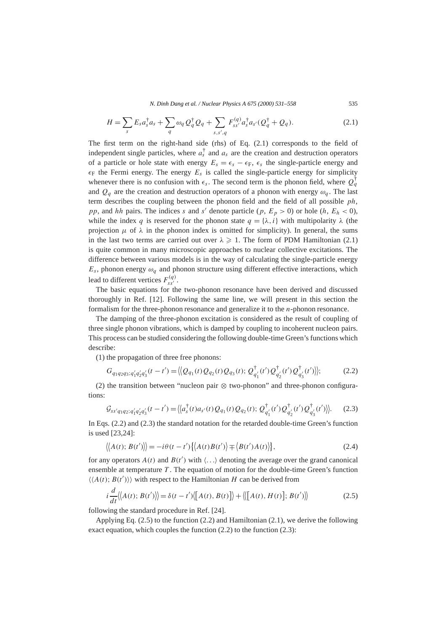*N. Dinh Dang et al. / Nuclear Physics A 675 (2000) 531–558* 535

$$
H = \sum_{s} E_{s} a_{s}^{\dagger} a_{s} + \sum_{q} \omega_{q} Q_{q}^{\dagger} Q_{q} + \sum_{s,s',q} F_{ss'}^{(q)} a_{s}^{\dagger} a_{s'} (Q_{q}^{\dagger} + Q_{q}). \tag{2.1}
$$

The first term on the right-hand side (rhs) of Eq. (2.1) corresponds to the field of independent single particles, where  $a_s^{\dagger}$  and  $a_s$  are the creation and destruction operators of a particle or hole state with energy  $E_s = \epsilon_s - \epsilon_F$ ,  $\epsilon_s$  the single-particle energy and  $\epsilon_F$  the Fermi energy. The energy  $E_s$  is called the single-particle energy for simplicity whenever there is no confusion with  $\epsilon_s$ . The second term is the phonon field, where  $Q_q^{\dagger}$ and  $Q_q$  are the creation and destruction operators of a phonon with energy  $\omega_q$ . The last term describes the coupling between the phonon field and the field of all possible *ph*, *pp*, and *hh* pairs. The indices *s* and *s'* denote particle (*p*,  $E_p > 0$ ) or hole (*h*,  $E_h < 0$ ), while the index *q* is reserved for the phonon state  $q = {\lambda, i}$  with multipolarity  $\lambda$  (the projection  $\mu$  of  $\lambda$  in the phonon index is omitted for simplicity). In general, the sums in the last two terms are carried out over  $\lambda \geqslant 1$ . The form of PDM Hamiltonian (2.1) is quite common in many microscopic approaches to nuclear collective excitations. The difference between various models is in the way of calculating the single-particle energy  $E_s$ , phonon energy  $\omega_q$  and phonon structure using different effective interactions, which lead to different vertices  $F_{ss'}^{(q)}$ .

The basic equations for the two-phonon resonance have been derived and discussed thoroughly in Ref. [12]. Following the same line, we will present in this section the formalism for the three-phonon resonance and generalize it to the *n*-phonon resonance.

The damping of the three-phonon excitation is considered as the result of coupling of three single phonon vibrations, which is damped by coupling to incoherent nucleon pairs. This process can be studied considering the following double-time Green's functions which describe:

(1) the propagation of three free phonons:

$$
G_{q_1q_2q_3;q'_1q'_2q'_3}(t-t') = \langle Q_{q_1}(t)Q_{q_2}(t)Q_{q_3}(t); Q^{\dagger}_{q'_1}(t')Q^{\dagger}_{q'_2}(t')Q^{\dagger}_{q'_3}(t') \rangle \rangle; \tag{2.2}
$$

(2) the transition between "nucleon pair ⊗ two-phonon" and three-phonon configurations:

$$
\mathcal{G}_{ss'q_1q_2;q'_1q'_2q'_3}(t-t') = \langle \langle a_s^{\dagger}(t)a_{s'}(t)Q_{q_1}(t)Q_{q_2}(t); \mathcal{Q}_{q'_1}^{\dagger}(t')Q_{q'_2}^{\dagger}(t')Q_{q'_3}^{\dagger}(t') \rangle \rangle. \tag{2.3}
$$

In Eqs. (2.2) and (2.3) the standard notation for the retarded double-time Green's function is used [23,24]:

$$
\langle A(t); B(t') \rangle = -i\theta(t - t') \{ \langle A(t)B(t') \rangle \mp \langle B(t')A(t) \rangle \},\tag{2.4}
$$

for any operators  $A(t)$  and  $B(t')$  with  $\langle \ldots \rangle$  denoting the average over the grand canonical ensemble at temperature *T* . The equation of motion for the double-time Green's function  $\langle\langle A(t); B(t')\rangle\rangle$  with respect to the Hamiltonian *H* can be derived from

$$
i\frac{d}{dt}\langle\langle A(t);B(t')\rangle\rangle = \delta(t-t')\langle[A(t),B(t)]\rangle + \langle\langle[A(t),H(t)];B(t')\rangle\rangle
$$
 (2.5)

following the standard procedure in Ref. [24].

Applying Eq. (2.5) to the function (2.2) and Hamiltonian (2.1), we derive the following exact equation, which couples the function (2.2) to the function (2.3):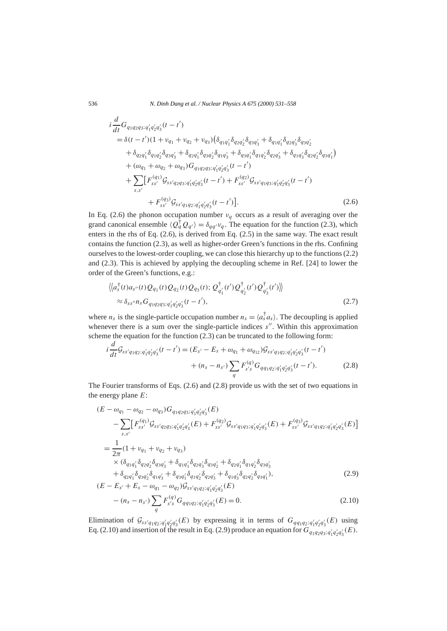$$
i\frac{d}{dt}G_{q_1q_2q_3;q'_1q'_2q'_3}(t-t')
$$
  
=  $\delta(t-t')(1+v_{q_1}+v_{q_2}+v_{q_3})(\delta_{q_1q'_1}\delta_{q_2q'_2}\delta_{q_3q'_3} + \delta_{q_1q'_1}\delta_{q_2q'_3}\delta_{q_3q'_2}$   
+  $\delta_{q_2q'_1}\delta_{q_1q'_2}\delta_{q_3q'_3} + \delta_{q_2q'_1}\delta_{q_3q'_2}\delta_{q_1q'_3} + \delta_{q_3q'_1}\delta_{q_1q'_2}\delta_{q_2q'_3} + \delta_{q_1q'_3}\delta_{q_2q'_2}\delta_{q_3q'_1}$   
+  $(\omega_{q_1} + \omega_{q_2} + \omega_{q_3})G_{q_1q_2q_3;q'_1q'_2q'_3}(t-t')$   
+  $\sum_{s,s'}[F_{ss'}^{(q_1)}\mathcal{G}_{ss'q_2q_3;q'_1q'_2q'_3}(t-t') + F_{ss'}^{(q_2)}\mathcal{G}_{ss'q_1q_3;q'_1q'_2q'_3}(t-t')$   
+  $F_{ss'}^{(q_3)}\mathcal{G}_{ss'q_1q_2;q'_1q'_2q'_3}(t-t')$ ]. (2.6)

In Eq. (2.6) the phonon occupation number  $v_q$  occurs as a result of averaging over the grand canonical ensemble  $\langle Q_q^{\dagger} Q_{q'} \rangle = \delta_{qq'} v_q$ . The equation for the function (2.3), which enters in the rhs of Eq. (2.6), is derived from Eq. (2.5) in the same way. The exact result contains the function (2.3), as well as higher-order Green's functions in the rhs. Confining ourselves to the lowest-order coupling, we can close this hierarchy up to the functions (2.2) and (2.3). This is achieved by applying the decoupling scheme in Ref. [24] to lower the order of the Green's functions, e.g.:

$$
\langle \langle a_s^{\dagger}(t)a_{s''}(t)Q_{q_1}(t)Q_{q_2}(t)Q_{q_3}(t); Q_{q'_1}^{\dagger}(t')Q_{q'_2}^{\dagger}(t')Q_{q'_3}^{\dagger}(t') \rangle \rangle
$$
  
 
$$
\approx \delta_{ss''}n_s G_{q_1q_2q_3;q'_1q'_2q'_3}(t-t'), \qquad (2.7)
$$

where  $n_s$  is the single-particle occupation number  $n_s = \langle a_s^{\dagger} a_s \rangle$ . The decoupling is applied whenever there is a sum over the single-particle indices *s''*. Within this approximation scheme the equation for the function (2.3) can be truncated to the following form:

$$
i\frac{d}{dt}\mathcal{G}_{ss'q_1q_2;q'_1q'_2q'_3}(t-t') = (E_{s'} - E_s + \omega_{q_1} + \omega_{q_{12}})\mathcal{G}_{ss'q_1q_2;q'_1q'_2q'_3}(t-t')+ (n_s - n_{s'})\sum_q F_{s's}^{(q)}G_{qq_1q_2;q'_1q'_2q'_3}(t-t').
$$
\n(2.8)

The Fourier transforms of Eqs. (2.6) and (2.8) provide us with the set of two equations in the energy plane *E*:

$$
(E - \omega_{q_1} - \omega_{q_2} - \omega_{q_3})G_{q_1q_2q_3; q'_1q'_2q'_3}(E)
$$
  
\n
$$
- \sum_{s,s'} [F_{ss'}^{(q_1)} \mathcal{G}_{ss'q_2q_3; q'_1q'_2q'_3}(E) + F_{ss'}^{(q_2)} \mathcal{G}_{ss'q_1q_3; q'_1q'_2q'_3}(E) + F_{ss'}^{(q_3)} \mathcal{G}_{ss'q_1q_2; q'_1q'_2q'_3}(E)]
$$
  
\n
$$
= \frac{1}{2\pi} (1 + \nu_{q_1} + \nu_{q_2} + \nu_{q_3})
$$
  
\n
$$
\times (\delta_{q_1q'_1}\delta_{q_2q'_2}\delta_{q_3q'_3} + \delta_{q_1q'_1}\delta_{q_2q'_3}\delta_{q_3q'_2} + \delta_{q_2q'_1}\delta_{q_1q'_2}\delta_{q_3q'_3}
$$
  
\n
$$
+ \delta_{q_2q'_1}\delta_{q_3q'_2}\delta_{q_1q'_3} + \delta_{q_3q'_1}\delta_{q_1q'_2}\delta_{q_2q'_3} + \delta_{q_1q'_3}\delta_{q_2q'_2}\delta_{q_3q'_1}),
$$
  
\n
$$
(E - E_{s'} + E_s - \omega_{q_1} - \omega_{q_2})\mathcal{G}_{ss'q_1q_2; q'_1q'_2q'_3}(E)
$$
  
\n(2.9)

$$
-(n_s - n_{s'})\sum_{q} F_{s's}^{(q)} G_{qq_1q_2;q'_1q'_2q'_3}(E) = 0.
$$
\n(2.10)

Elimination of  $\mathcal{G}_{ss'q_1q_2;q'_1q'_2q'_3}(E)$  by expressing it in terms of  $G_{qq_1q_2;q'_1q'_2q'_3}(E)$  using Eq. (2.10) and insertion of the result in Eq. (2.9) produce an equation for  $G_{q_1q_2q_3;q'_1q'_2q'_3}(E)$ .

*d*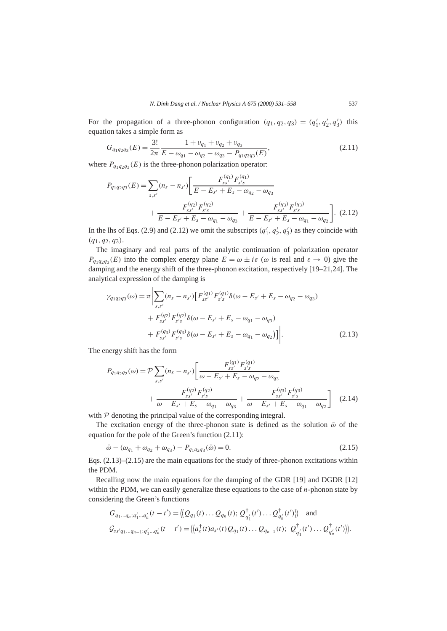For the propagation of a three-phonon configuration  $(q_1, q_2, q_3) = (q'_1, q'_2, q'_3)$  this equation takes a simple form as

$$
G_{q_1q_2q_3}(E) = \frac{3!}{2\pi} \frac{1 + \nu_{q_1} + \nu_{q_2} + \nu_{q_3}}{E - \omega_{q_1} - \omega_{q_2} - \omega_{q_3} - P_{q_1q_2q_3}(E)},
$$
\n(2.11)

where  $P_{q_1q_2q_3}(E)$  is the three-phonon polarization operator:

$$
P_{q_1q_2q_3}(E) = \sum_{s,s'} (n_s - n_{s'}) \left[ \frac{F_{ss'}^{(q_1)} F_{s's}^{(q_1)}}{E - E_{s'} + E_s - \omega_{q_2} - \omega_{q_3}} + \frac{F_{ss'}^{(q_2)} F_{s's}^{(q_2)}}{E - E_{s'} + E_s - \omega_{q_1} - \omega_{q_3}} + \frac{F_{ss'}^{(q_3)} F_{s's}^{(q_3)}}{E - E_{s'} + E_s - \omega_{q_1} - \omega_{q_2}} \right].
$$
 (2.12)

In the lhs of Eqs. (2.9) and (2.12) we omit the subscripts  $(q'_1, q'_2, q'_3)$  as they coincide with *(q*1*, q*2*, q*3*)*.

The imaginary and real parts of the analytic continuation of polarization operator  $P_{q_1q_2q_3}(E)$  into the complex energy plane  $E = \omega \pm i\varepsilon$  ( $\omega$  is real and  $\varepsilon \to 0$ ) give the damping and the energy shift of the three-phonon excitation, respectively [19–21,24]. The analytical expression of the damping is

$$
\gamma_{q_1 q_2 q_3}(\omega) = \pi \left| \sum_{s,s'} (n_s - n_{s'}) \left[ F_{ss'}^{(q_1)} F_{s's}^{(q_1)} \delta(\omega - E_{s'} + E_s - \omega_{q_2} - \omega_{q_3}) + F_{ss'}^{(q_2)} F_{s's}^{(q_2)} \delta(\omega - E_{s'} + E_s - \omega_{q_1} - \omega_{q_3}) + F_{ss'}^{(q_3)} F_{s's}^{(q_3)} \delta(\omega - E_{s'} + E_s - \omega_{q_1} - \omega_{q_2}) \right] \right|.
$$
\n(2.13)

The energy shift has the form

$$
P_{q_1q_2q_2}(\omega) = \mathcal{P} \sum_{s,s'} (n_s - n_{s'}) \left[ \frac{F_{ss'}^{(q_1)} F_{s's}^{(q_1)}}{\omega - E_{s'} + E_s - \omega_{q_2} - \omega_{q_3}} + \frac{F_{ss'}^{(q_2)} F_{s's}^{(q_2)}}{\omega - E_{s'} + E_s - \omega_{q_1} - \omega_{q_3}} + \frac{F_{ss'}^{(q_3)} F_{s's}^{(q_3)}}{\omega - E_{s'} + E_s - \omega_{q_1} - \omega_{q_2}} \right]
$$
(2.14)

with  $P$  denoting the principal value of the corresponding integral.

The excitation energy of the three-phonon state is defined as the solution  $\bar{\omega}$  of the equation for the pole of the Green's function (2.11):

$$
\bar{\omega} - (\omega_{q_1} + \omega_{q_2} + \omega_{q_3}) - P_{q_1 q_2 q_3}(\bar{\omega}) = 0.
$$
\n(2.15)

Eqs.  $(2.13)$ – $(2.15)$  are the main equations for the study of three-phonon excitations within the PDM.

Recalling now the main equations for the damping of the GDR [19] and DGDR [12] within the PDM, we can easily generalize these equations to the case of *n*-phonon state by considering the Green's functions

$$
G_{q_1...q_n;q'_1...q'_n}(t-t') = \langle Q_{q_1}(t)...Q_{q_n}(t); Q_{q'_1}^{\dagger}(t')...Q_{q'_n}^{\dagger}(t')\rangle \rangle \text{ and}
$$
  

$$
\mathcal{G}_{ss'q_1...q_{n-1};q'_1...q'_n}(t-t') = \langle a_s^{\dagger}(t)a_{s'}(t)Q_{q_1}(t)...Q_{q_{n-1}}(t); Q_{q'_1}^{\dagger}(t')...Q_{q'_n}^{\dagger}(t')\rangle \rangle.
$$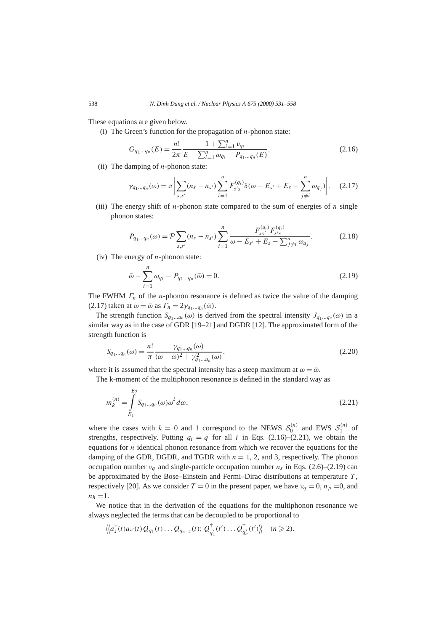These equations are given below.

(i) The Green's function for the propagation of *n*-phonon state:

$$
G_{q_1\ldots q_n}(E) = \frac{n!}{2\pi} \frac{1 + \sum_{i=1}^n v_{q_i}}{E - \sum_{i=1}^n \omega_{q_i} - P_{q_1\ldots q_n}(E)}.
$$
\n(2.16)

(ii) The damping of *n*-phonon state:

$$
\gamma_{q_1\ldots q_n}(\omega) = \pi \left| \sum_{s,s'} (n_s - n_{s'}) \sum_{i=1}^n F_{s's}^{(q_i)} \delta(\omega - E_{s'} + E_s - \sum_{j \neq i}^n \omega_{q_j}) \right|.
$$
 (2.17)

(iii) The energy shift of  $n$ -phonon state compared to the sum of energies of  $n$  single phonon states:

$$
P_{q_1...q_n}(\omega) = \mathcal{P} \sum_{s,s'} (n_s - n_{s'}) \sum_{i=1}^n \frac{F_{ss'}^{(q_i)} F_{s's}^{(q_i)}}{\omega - E_{s'} + E_s - \sum_{j \neq i}^n \omega_{q_j}}.
$$
 (2.18)

(iv) The energy of *n*-phonon state:

$$
\bar{\omega} - \sum_{i=1}^{n} \omega_{q_i} - P_{q_1 \dots q_n}(\bar{\omega}) = 0.
$$
\n(2.19)

The FWHM *Γn* of the *n*-phonon resonance is defined as twice the value of the damping  $(2.17)$  taken at  $\omega = \bar{\omega}$  as  $\Gamma_n = 2\gamma_{q_1...q_n}(\bar{\omega})$ .

The strength function  $S_{q_1...q_n}(\omega)$  is derived from the spectral intensity  $J_{q_1...q_n}(\omega)$  in a similar way as in the case of GDR [19–21] and DGDR [12]. The approximated form of the strength function is

$$
S_{q_1...q_n}(\omega) = \frac{n!}{\pi} \frac{\gamma_{q_1...q_n}(\omega)}{(\omega - \bar{\omega})^2 + \gamma_{q_1...q_n}^2(\omega)},
$$
\n(2.20)

where it is assumed that the spectral intensity has a steep maximum at  $\omega = \bar{\omega}$ .

The k-moment of the multiphonon resonance is defined in the standard way as

$$
m_k^{(n)} = \int_{E_1}^{E_2} S_{q_1...q_n}(\omega) \omega^k d\omega,
$$
\n(2.21)

where the cases with  $k = 0$  and 1 correspond to the NEWS  $S_0^{(n)}$  and EWS  $S_1^{(n)}$  of strengths, respectively. Putting  $q_i = q$  for all *i* in Eqs. (2.16)–(2.21), we obtain the equations for *n* identical phonon resonance from which we recover the equations for the damping of the GDR, DGDR, and TGDR with  $n = 1, 2$ , and 3, respectively. The phonon occupation number  $v_q$  and single-particle occupation number  $n_s$  in Eqs. (2.6)–(2.19) can be approximated by the Bose–Einstein and Fermi–Dirac distributions at temperature *T* , respectively [20]. As we consider  $T = 0$  in the present paper, we have  $v_q = 0$ ,  $n_p = 0$ , and  $n_h = 1$ .

We notice that in the derivation of the equations for the multiphonon resonance we always neglected the terms that can be decoupled to be proportional to

$$
\langle \langle a_s^{\dagger}(t)a_{s'}(t)Q_{q_1}(t)\dots Q_{q_{n-2}}(t); Q_{q'_1}^{\dagger}(t')\dots Q_{q'_n}^{\dagger}(t') \rangle \rangle \quad (n \geq 2).
$$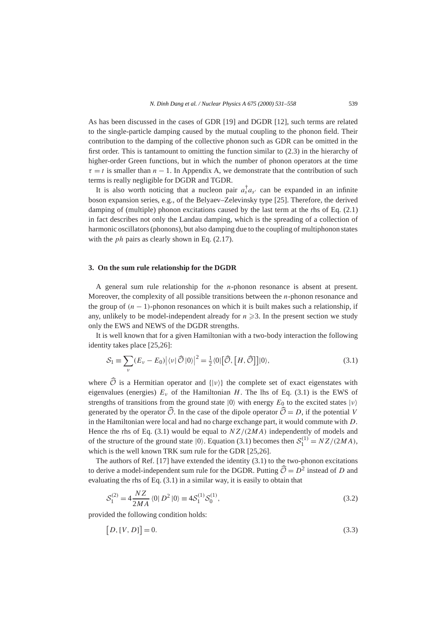As has been discussed in the cases of GDR [19] and DGDR [12], such terms are related to the single-particle damping caused by the mutual coupling to the phonon field. Their contribution to the damping of the collective phonon such as GDR can be omitted in the first order. This is tantamount to omitting the function similar to (2.3) in the hierarchy of higher-order Green functions, but in which the number of phonon operators at the time  $\tau = t$  is smaller than  $n - 1$ . In Appendix A, we demonstrate that the contribution of such terms is really negligible for DGDR and TGDR.

It is also worth noticing that a nucleon pair  $a_s^{\dagger} a_{s'}$  can be expanded in an infinite boson expansion series, e.g., of the Belyaev–Zelevinsky type [25]. Therefore, the derived damping of (multiple) phonon excitations caused by the last term at the rhs of Eq. (2.1) in fact describes not only the Landau damping, which is the spreading of a collection of harmonic oscillators (phonons), but also damping due to the coupling of multiphonon states with the *ph* pairs as clearly shown in Eq. (2.17).

#### **3. On the sum rule relationship for the DGDR**

A general sum rule relationship for the *n*-phonon resonance is absent at present. Moreover, the complexity of all possible transitions between the *n*-phonon resonance and the group of  $(n - 1)$ -phonon resonances on which it is built makes such a relationship, if any, unlikely to be model-independent already for  $n \geq 3$ . In the present section we study only the EWS and NEWS of the DGDR strengths.

It is well known that for a given Hamiltonian with a two-body interaction the following identity takes place [25,26]:

$$
S_1 \equiv \sum_{\nu} (E_{\nu} - E_0) |\langle \nu | \widehat{\mathcal{O}} | 0 \rangle|^2 = \frac{1}{2} \langle 0 | [\widehat{\mathcal{O}}, [H, \widehat{\mathcal{O}}]] | 0 \rangle, \tag{3.1}
$$

where  $\widehat{\mathcal{O}}$  is a Hermitian operator and  $\{|\nu\rangle\}$  the complete set of exact eigenstates with eigenvalues (energies)  $E_y$  of the Hamiltonian *H*. The lhs of Eq. (3.1) is the EWS of strengths of transitions from the ground state  $|0\rangle$  with energy  $E_0$  to the excited states  $|\nu\rangle$ generated by the operator  $\widehat{O}$ . In the case of the dipole operator  $\widehat{O} = D$ , if the potential *V* in the Hamiltonian were local and had no charge exchange part, it would commute with *D*. Hence the rhs of Eq. (3.1) would be equal to *NZ/(*2*MA)* independently of models and of the structure of the ground state  $|0\rangle$ . Equation (3.1) becomes then  $S_1^{(1)} = NZ/(2MA)$ , which is the well known TRK sum rule for the GDR [25,26].

The authors of Ref. [17] have extended the identity (3.1) to the two-phonon excitations to derive a model-independent sum rule for the DGDR. Putting  $\widehat{\mathcal{O}} = D^2$  instead of *D* and evaluating the rhs of Eq. (3.1) in a similar way, it is easily to obtain that

$$
S_1^{(2)} = 4 \frac{NZ}{2MA} \langle 0 | D^2 | 0 \rangle \equiv 4S_1^{(1)} S_0^{(1)}, \tag{3.2}
$$

provided the following condition holds:

$$
[D, [V, D]] = 0. \tag{3.3}
$$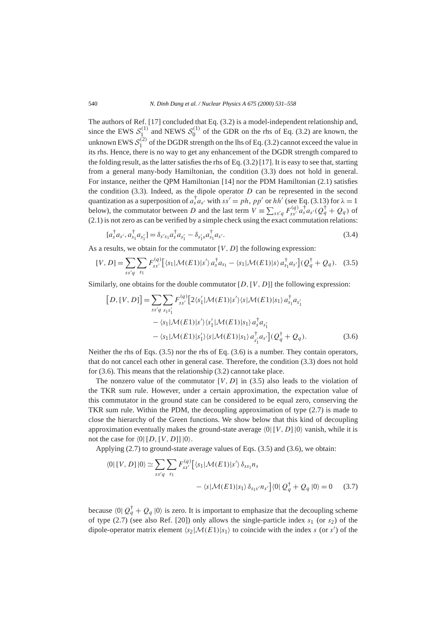The authors of Ref. [17] concluded that Eq. (3.2) is a model-independent relationship and, since the EWS  $S_1^{(1)}$  and NEWS  $S_0^{(1)}$  of the GDR on the rhs of Eq. (3.2) are known, the unknown EWS  $S_1^{(2)}$  of the DGDR strength on the lhs of Eq. (3.2) cannot exceed the value in its rhs. Hence, there is no way to get any enhancement of the DGDR strength compared to the folding result, as the latter satisfies the rhs of Eq. (3.2) [17]. It is easy to see that, starting from a general many-body Hamiltonian, the condition (3.3) does not hold in general. For instance, neither the QPM Hamiltonian [14] nor the PDM Hamiltonian (2.1) satisfies the condition  $(3.3)$ . Indeed, as the dipole operator  $D$  can be represented in the second quantization as a superposition of  $a_s^{\dagger} a_{s'}$  with  $ss' = ph$ ,  $pp'$  or  $hh'$  (see Eq. (3.13) for  $\lambda = 1$ below), the commutator between *D* and the last term  $V = \sum_{ss'q} F_{ss'}^{(q)} a_s^{\dagger} a_{s'} (Q_q^{\dagger} + Q_q)$  of (2.1) is not zero as can be verified by a simple check using the exact commutation relations:

$$
[a_s^{\dagger} a_{s'}, a_{s_1}^{\dagger} a_{s'_1}] = \delta_{s's_1} a_s^{\dagger} a_{s'_1} - \delta_{s'_1 s} a_{s_1}^{\dagger} a_{s'}.
$$
 (3.4)

As a results, we obtain for the commutator [*V*, *D*] the following expression:

$$
[V, D] = \sum_{ss'q} \sum_{s_1} F_{ss'}^{(q)} [\langle s_1 | \mathcal{M}(E1) | s' \rangle a_s^{\dagger} a_{s_1} - \langle s_1 | \mathcal{M}(E1) | s \rangle a_{s_1}^{\dagger} a_{s'}] (Q_q^{\dagger} + Q_q). \tag{3.5}
$$

Similarly, one obtains for the double commutator [*D,*[*V,D*]] the following expression:

$$
[D, [V, D]] = \sum_{ss'q} \sum_{s_1s'_1} F_{ss'}^{(q)} [2\langle s'_1 | \mathcal{M}(E1) | s' \rangle \langle s | \mathcal{M}(E1) | s_1 \rangle a_{s_1}^{\dagger} a_{s'_1}
$$

$$
- \langle s_1 | \mathcal{M}(E1) | s' \rangle \langle s'_1 | \mathcal{M}(E1) | s_1 \rangle a_s^{\dagger} a_{s'_1}
$$

$$
- \langle s_1 | \mathcal{M}(E1) | s'_1 \rangle \langle s | \mathcal{M}(E1) | s_1 \rangle a_{s'_1}^{\dagger} a_{s'}] (Q_q^{\dagger} + Q_q). \tag{3.6}
$$

Neither the rhs of Eqs. (3.5) nor the rhs of Eq. (3.6) is a number. They contain operators, that do not cancel each other in general case. Therefore, the condition (3.3) does not hold for (3.6). This means that the relationship (3.2) cannot take place.

The nonzero value of the commutator  $[V, D]$  in (3.5) also leads to the violation of the TKR sum rule. However, under a certain approximation, the expectation value of this commutator in the ground state can be considered to be equal zero, conserving the TKR sum rule. Within the PDM, the decoupling approximation of type (2.7) is made to close the hierarchy of the Green functions. We show below that this kind of decoupling approximation eventually makes the ground-state average  $\langle 0| [V, D] |0\rangle$  vanish, while it is not the case for  $\langle 0| [D, [V, D]] |0 \rangle$ .

Applying (2.7) to ground-state average values of Eqs. (3.5) and (3.6), we obtain:

$$
\langle 0 | [V, D] | 0 \rangle \simeq \sum_{ss'q} \sum_{s_1} F_{ss'}^{(q)} \left[ \langle s_1 | \mathcal{M}(E1) | s' \rangle \delta_{ss_1} n_s - \langle s | \mathcal{M}(E1) | s_1 \rangle \delta_{ss_1s'} n_{s'} \right] \langle 0 | Q_q^{\dagger} + Q_q | 0 \rangle = 0 \quad (3.7)
$$

because  $\langle 0 | Q_q^{\dagger} + Q_q | 0 \rangle$  is zero. It is important to emphasize that the decoupling scheme of type (2.7) (see also Ref. [20]) only allows the single-particle index *s*<sup>1</sup> (or *s*2) of the dipole-operator matrix element  $\langle s_2|M(E1)|s_1\rangle$  to coincide with the index *s* (or *s'*) of the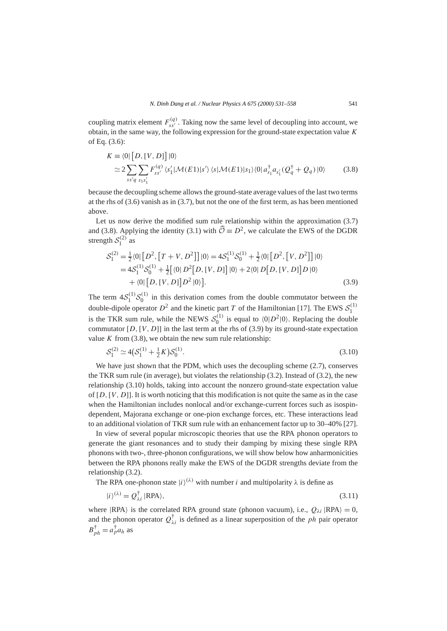coupling matrix element  $F_{ss'}^{(q)}$ . Taking now the same level of decoupling into account, we obtain, in the same way, the following expression for the ground-state expectation value *K* of Eq. (3.6):

$$
K \equiv \langle 0 | [D, [V, D]] | 0 \rangle
$$
  
\n
$$
\simeq 2 \sum_{ss'q} \sum_{s_1s'_1} F_{ss'}^{(q)} \langle s'_1 | \mathcal{M}(E1) | s' \rangle \langle s | \mathcal{M}(E1) | s_1 \rangle \langle 0 | a_{s_1}^\dagger a_{s'_1} (Q_q^\dagger + Q_q) | 0 \rangle
$$
 (3.8)

because the decoupling scheme allows the ground-state average values of the last two terms at the rhs of (3.6) vanish as in (3.7), but not the one of the first term, as has been mentioned above.

Let us now derive the modified sum rule relationship within the approximation (3.7) and (3.8). Applying the identity (3.1) with  $\hat{\mathcal{O}} \equiv D^2$ , we calculate the EWS of the DGDR strength  $S_1^{(2)}$  as

$$
S_1^{(2)} = \frac{1}{2} \langle 0 | [D^2, [T + V, D^2]] | 0 \rangle = 4S_1^{(1)} S_0^{(1)} + \frac{1}{2} \langle 0 | [D^2, [V, D^2]] | 0 \rangle
$$
  
= 4S\_1^{(1)} S\_0^{(1)} + \frac{1}{2} [ \langle 0 | D^2 [D, [V, D]] | 0 \rangle + 2 \langle 0 | D [D, [V, D]] D | 0 \rangle  
+ \langle 0 | [D, [V, D]] D^2 | 0 \rangle ]. (3.9)

The term  $4S_1^{(1)}S_0^{(1)}$  in this derivation comes from the double commutator between the double-dipole operator  $D^2$  and the kinetic part *T* of the Hamiltonian [17]. The EWS  $S_1^{(1)}$ is the TKR sum rule, while the NEWS  $S_0^{(1)}$  is equal to  $\langle 0|D^2|0\rangle$ . Replacing the double commutator  $[D, [V, D]]$  in the last term at the rhs of (3.9) by its ground-state expectation value  $K$  from  $(3.8)$ , we obtain the new sum rule relationship:

$$
S_1^{(2)} \simeq 4(S_1^{(1)} + \frac{1}{2}K)S_0^{(1)}.
$$
\n(3.10)

We have just shown that the PDM, which uses the decoupling scheme (2.7), conserves the TKR sum rule (in average), but violates the relationship (3.2). Instead of (3.2), the new relationship (3.10) holds, taking into account the nonzero ground-state expectation value of [*D,*[*V,D*]]. It is worth noticing that this modification is not quite the same as in the case when the Hamiltonian includes nonlocal and/or exchange-current forces such as isospindependent, Majorana exchange or one-pion exchange forces, etc. These interactions lead to an additional violation of TKR sum rule with an enhancement factor up to 30–40% [27].

In view of several popular microscopic theories that use the RPA phonon operators to generate the giant resonances and to study their damping by mixing these single RPA phonons with two-, three-phonon configurations, we will show below how anharmonicities between the RPA phonons really make the EWS of the DGDR strengths deviate from the relationship (3.2).

The RPA one-phonon state  $|i\rangle^{(\lambda)}$  with number *i* and multipolarity  $\lambda$  is define as

$$
|i\rangle^{(\lambda)} = Q_{\lambda i}^{\dagger} |RPA\rangle,\tag{3.11}
$$

where  $|RPA\rangle$  is the correlated RPA ground state (phonon vacuum), i.e.,  $Q_{\lambda i}$   $|RPA\rangle = 0$ , and the phonon operator  $Q^{\dagger}_{\lambda i}$  is defined as a linear superposition of the *ph* pair operator  $B_{ph}^{\dagger} = a_p^{\dagger} a_h$  as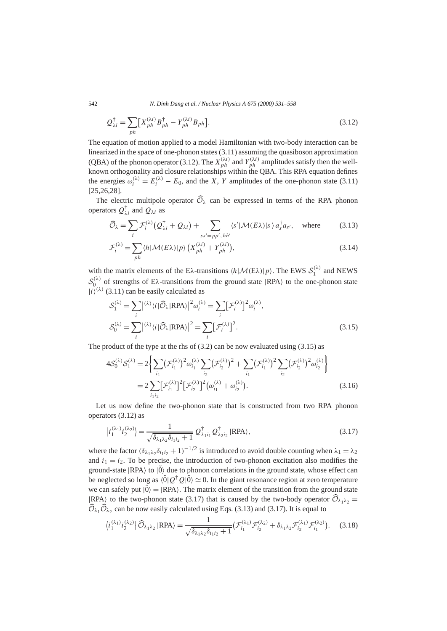542 *N. Dinh Dang et al. / Nuclear Physics A 675 (2000) 531–558*

$$
Q_{\lambda i}^{\dagger} = \sum_{ph} \left[ X_{ph}^{(\lambda i)} B_{ph}^{\dagger} - Y_{ph}^{(\lambda i)} B_{ph} \right].
$$
 (3.12)

The equation of motion applied to a model Hamiltonian with two-body interaction can be linearized in the space of one-phonon states (3.11) assuming the quasiboson approximation (QBA) of the phonon operator (3.12). The  $X_{ph}^{(\lambda i)}$  and  $Y_{ph}^{(\lambda i)}$  amplitudes satisfy then the wellknown orthogonality and closure relationships within the QBA. This RPA equation defines the energies  $\omega_i^{(\lambda)} = E_i^{(\lambda)} - E_0$ , and the *X*, *Y* amplitudes of the one-phonon state (3.11) [25,26,28].

The electric multipole operator  $\widehat{\mathcal{O}}_{\lambda}$  can be expressed in terms of the RPA phonon operators  $Q_{\lambda i}^{\dagger}$  and  $Q_{\lambda i}$  as

$$
\widehat{\mathcal{O}}_{\lambda} = \sum_{i} \mathcal{F}_{i}^{(\lambda)} \big( Q_{\lambda i}^{\dagger} + Q_{\lambda i} \big) + \sum_{ss' = pp', \, hh'} \langle s' | \mathcal{M}(E\lambda) | s \rangle a_{s}^{\dagger} a_{s'}, \quad \text{where} \tag{3.13}
$$

$$
\mathcal{F}_i^{(\lambda)} = \sum_{ph} \langle h | \mathcal{M}(E\lambda) | p \rangle \left( X_{ph}^{(\lambda i)} + Y_{ph}^{(\lambda i)} \right),\tag{3.14}
$$

with the matrix elements of the E $\lambda$ -transitions  $\langle h|\mathcal{M}(E\lambda)|p\rangle$ . The EWS  $\mathcal{S}_1^{(\lambda)}$  and NEWS  $S_0^{(\lambda)}$  of strengths of E $\lambda$ -transitions from the ground state  $|RPA\rangle$  to the one-phonon state  $|i\rangle^{(\lambda)}$  (3.11) can be easily calculated as

$$
S_1^{(\lambda)} = \sum_i |\langle \lambda \rangle \langle i | \widehat{\mathcal{O}}_{\lambda} | \text{RPA} \rangle|^2 \omega_i^{(\lambda)} = \sum_i [\mathcal{F}_i^{(\lambda)}]^2 \omega_i^{(\lambda)},
$$
  

$$
S_0^{(\lambda)} = \sum_i |\langle \lambda \rangle \langle i | \widehat{\mathcal{O}}_{\lambda} | \text{RPA} \rangle|^2 = \sum_i [\mathcal{F}_i^{(\lambda)}]^2.
$$
 (3.15)

The product of the type at the rhs of  $(3.2)$  can be now evaluated using  $(3.15)$  as

$$
4\mathcal{S}_0^{(\lambda)}\mathcal{S}_1^{(\lambda)} = 2\bigg\{\sum_{i_1} \left(\mathcal{F}_{i_1}^{(\lambda)}\right)^2 \omega_{i_1}^{(\lambda)} \sum_{i_2} \left(\mathcal{F}_{i_2}^{(\lambda)}\right)^2 + \sum_{i_1} \left(\mathcal{F}_{i_1}^{(\lambda)}\right)^2 \sum_{i_2} \left(\mathcal{F}_{i_2}^{(\lambda)}\right)^2 \omega_{i_2}^{(\lambda)}\bigg\}
$$
  
= 
$$
2\sum_{i_1 i_2} \left[\mathcal{F}_{i_1}^{(\lambda)}\right]^2 \left[\mathcal{F}_{i_2}^{(\lambda)}\right]^2 \left(\omega_{i_1}^{(\lambda)} + \omega_{i_2}^{(\lambda)}\right).
$$
 (3.16)

Let us now define the two-phonon state that is constructed from two RPA phonon operators (3.12) as

$$
|i_1^{(\lambda_1)} i_2^{(\lambda_2)}\rangle = \frac{1}{\sqrt{\delta_{\lambda_1 \lambda_2} \delta_{i_1 i_2} + 1}} Q_{\lambda_1 i_1}^\dagger Q_{\lambda_2 i_2}^\dagger |\text{RPA}\rangle,\tag{3.17}
$$

where the factor  $(\delta_{\lambda_1\lambda_2}\delta_{i_1i_2}+1)^{-1/2}$  is introduced to avoid double counting when  $\lambda_1=\lambda_2$ and  $i_1 = i_2$ . To be precise, the introduction of two-phonon excitation also modifies the ground-state  $|RPA\rangle$  to  $|0\rangle$  due to phonon correlations in the ground state, whose effect can be neglected so long as  $\langle 0|Q^{\dagger}Q|0\rangle \simeq 0$ . In the giant resonance region at zero temperature we can safely put  $|0\rangle = |RPA\rangle$ . The matrix element of the transition from the ground state  $|RPA\rangle$  to the two-phonon state (3.17) that is caused by the two-body operator  $\widehat{\mathcal{O}}_{\lambda_1\lambda_2}$  =  $\widehat{\mathcal{O}}_{\lambda_1}\widehat{\mathcal{O}}_{\lambda_2}$  can be now easily calculated using Eqs. (3.13) and (3.17). It is equal to

$$
\langle i_1^{(\lambda_1)} i_2^{(\lambda_2)} | \widehat{\mathcal{O}}_{\lambda_1 \lambda_2} | \text{RPA} \rangle = \frac{1}{\sqrt{\delta_{\lambda_1 \lambda_2} \delta_{i_1 i_2} + 1}} \big( \mathcal{F}_{i_1}^{(\lambda_1)} \mathcal{F}_{i_2}^{(\lambda_2)} + \delta_{\lambda_1 \lambda_2} \mathcal{F}_{i_2}^{(\lambda_1)} \mathcal{F}_{i_1}^{(\lambda_2)} \big) . \tag{3.18}
$$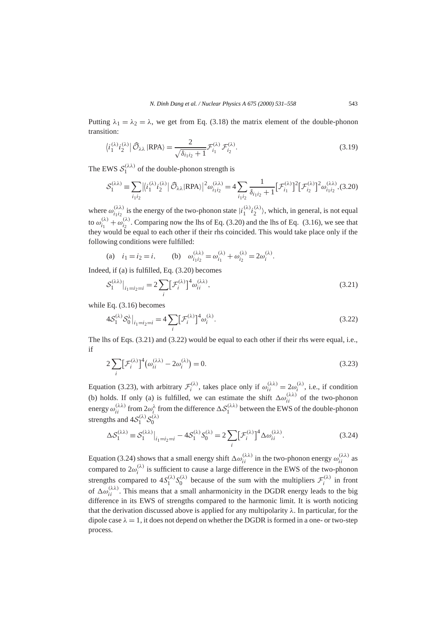Putting  $\lambda_1 = \lambda_2 = \lambda$ , we get from Eq. (3.18) the matrix element of the double-phonon transition:

$$
\langle i_1^{(\lambda)} i_2^{(\lambda)} | \widehat{\mathcal{O}}_{\lambda\lambda} | \text{RPA} \rangle = \frac{2}{\sqrt{\delta_{i_1 i_2} + 1}} \mathcal{F}_{i_1}^{(\lambda)} \mathcal{F}_{i_2}^{(\lambda)}.
$$
 (3.19)

The EWS  $S_1^{(\lambda\lambda)}$  of the double-phonon strength is

$$
\mathcal{S}_1^{(\lambda\lambda)} \equiv \sum_{i_1i_2} \left| \langle i_1^{(\lambda)} i_2^{(\lambda)} \right| \widehat{\mathcal{O}}_{\lambda\lambda} | \text{RPA} \rangle \right|^2 \omega_{i_1i_2}^{(\lambda\lambda)} = 4 \sum_{i_1i_2} \frac{1}{\delta_{i_1i_2} + 1} \left[ \mathcal{F}_{i_1}^{(\lambda)} \right]^2 \left[ \mathcal{F}_{i_2}^{(\lambda)} \right]^2 \omega_{i_1i_2}^{(\lambda\lambda)}, (3.20)
$$

where  $\omega_{i_1 i_2}^{(\lambda \lambda)}$  is the energy of the two-phonon state  $|i_1^{(\lambda)} i_2^{(\lambda)}\rangle$ , which, in general, is not equal to  $\omega_{i_1}^{(\lambda)} + \omega_{i_2}^{(\lambda)}$ . Comparing now the lhs of Eq. (3.20) and the lhs of Eq. (3.16), we see that they would be equal to each other if their rhs coincided. This would take place only if the following conditions were fulfilled:

(a) 
$$
i_1 = i_2 = i
$$
, (b)  $\omega_{i_1 i_2}^{(\lambda \lambda)} = \omega_{i_1}^{(\lambda)} + \omega_{i_2}^{(\lambda)} = 2\omega_i^{(\lambda)}$ .

Indeed, if (a) is fulfilled, Eq. (3.20) becomes

$$
\mathcal{S}_1^{(\lambda\lambda)}\big|_{i_1=i_2=i} = 2\sum_i \left[\mathcal{F}_i^{(\lambda)}\right]^4 \omega_{ii}^{(\lambda\lambda)},\tag{3.21}
$$

while Eq. (3.16) becomes

$$
4\mathcal{S}_1^{(\lambda)}\mathcal{S}_0^{\lambda}\big|_{i_1=i_2=i} = 4\sum_i [\mathcal{F}_i^{(\lambda)}]^4 \omega_i^{(\lambda)}.
$$
\n(3.22)

The lhs of Eqs. (3.21) and (3.22) would be equal to each other if their rhs were equal, i.e., if

$$
2\sum_{i} \left[\mathcal{F}_{i}^{(\lambda)}\right]^{4} \left(\omega_{ii}^{(\lambda\lambda)} - 2\omega_{i}^{(\lambda)}\right) = 0. \tag{3.23}
$$

Equation (3.23), with arbitrary  $\mathcal{F}_i^{(\lambda)}$ , takes place only if  $\omega_{ii}^{(\lambda\lambda)} = 2\omega_i^{(\lambda)}$ , i.e., if condition (b) holds. If only (a) is fulfilled, we can estimate the shift  $\Delta \omega_{ii}^{(\lambda \lambda)}$  of the two-phonon energy  $\omega_{ii}^{(\lambda\lambda)}$  from  $2\omega_i^{\lambda}$  from the difference  $\Delta S_1^{(\lambda\lambda)}$  between the EWS of the double-phonon strengths and  $4S_1^{(\lambda)}S_0^{(\lambda)}$ 

$$
\Delta S_1^{(\lambda\lambda)} \equiv S_1^{(\lambda\lambda)}\big|_{i_1=i_2=i} - 4S_1^{(\lambda)}S_0^{(\lambda)} = 2\sum_i [\mathcal{F}_i^{(\lambda)}]^4 \Delta \omega_{ii}^{(\lambda\lambda)}.
$$
\n(3.24)

Equation (3.24) shows that a small energy shift  $\Delta \omega_{ii}^{(\lambda \lambda)}$  in the two-phonon energy  $\omega_{ii}^{(\lambda \lambda)}$  as compared to  $2\omega_i^{(\lambda)}$  is sufficient to cause a large difference in the EWS of the two-phonon strengths compared to  $4S_1^{(\lambda)}S_0^{(\lambda)}$  because of the sum with the multipliers  $\mathcal{F}_i^{(\lambda)}$  in front of  $\Delta \omega_{ii}^{(\lambda \lambda)}$ . This means that a small anharmonicity in the DGDR energy leads to the big difference in its EWS of strengths compared to the harmonic limit. It is worth noticing that the derivation discussed above is applied for any multipolarity *λ*. In particular, for the dipole case  $\lambda = 1$ , it does not depend on whether the DGDR is formed in a one- or two-step process.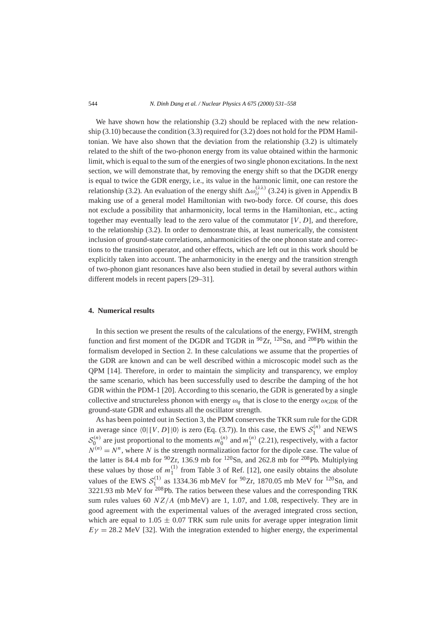We have shown how the relationship  $(3.2)$  should be replaced with the new relationship (3.10) because the condition (3.3) required for (3.2) does not hold for the PDM Hamiltonian. We have also shown that the deviation from the relationship (3.2) is ultimately related to the shift of the two-phonon energy from its value obtained within the harmonic limit, which is equal to the sum of the energies of two single phonon excitations. In the next section, we will demonstrate that, by removing the energy shift so that the DGDR energy is equal to twice the GDR energy, i.e., its value in the harmonic limit, one can restore the relationship (3.2). An evaluation of the energy shift  $\Delta \omega_{ii}^{(\lambda \lambda)}$  (3.24) is given in Appendix B making use of a general model Hamiltonian with two-body force. Of course, this does not exclude a possibility that anharmonicity, local terms in the Hamiltonian, etc., acting together may eventually lead to the zero value of the commutator  $[V, D]$ , and therefore, to the relationship (3.2). In order to demonstrate this, at least numerically, the consistent inclusion of ground-state correlations, anharmonicities of the one phonon state and corrections to the transition operator, and other effects, which are left out in this work should be explicitly taken into account. The anharmonicity in the energy and the transition strength of two-phonon giant resonances have also been studied in detail by several authors within different models in recent papers [29–31].

## **4. Numerical results**

In this section we present the results of the calculations of the energy, FWHM, strength function and first moment of the DGDR and TGDR in  $\frac{90}{2}$ r,  $\frac{120}{5}$ Sn, and  $\frac{208}{9}$ Pb within the formalism developed in Section 2. In these calculations we assume that the properties of the GDR are known and can be well described within a microscopic model such as the QPM [14]. Therefore, in order to maintain the simplicity and transparency, we employ the same scenario, which has been successfully used to describe the damping of the hot GDR within the PDM-1 [20]. According to this scenario, the GDR is generated by a single collective and structureless phonon with energy  $\omega_q$  that is close to the energy  $\omega_{\text{GDR}}$  of the ground-state GDR and exhausts all the oscillator strength.

As has been pointed out in Section 3, the PDM conserves the TKR sum rule for the GDR in average since  $\langle 0 | [V, D] | 0 \rangle$  is zero (Eq. (3.7)). In this case, the EWS  $S_1^{(n)}$  and NEWS  $S_0^{(n)}$  are just proportional to the moments  $m_0^{(n)}$  and  $m_1^{(n)}$  (2.21), respectively, with a factor  $N^{(n)} = N^n$ , where *N* is the strength normalization factor for the dipole case. The value of the latter is 84.4 mb for  $\frac{90}{2}$ r, 136.9 mb for  $\frac{120}{5}$ n, and 262.8 mb for  $\frac{208}{10}$ Pb. Multiplying these values by those of  $m_1^{(1)}$  from Table 3 of Ref. [12], one easily obtains the absolute values of the EWS  $S_{1}^{(1)}$  as 1334.36 mb MeV for <sup>90</sup>Zr, 1870.05 mb MeV for <sup>120</sup>Sn, and  $3221.93$  mb MeV for <sup>208</sup>Pb. The ratios between these values and the corresponding TRK sum rules values 60  $NZ/A$  (mb MeV) are 1, 1.07, and 1.08, respectively. They are in good agreement with the experimental values of the averaged integrated cross section, which are equal to  $1.05 \pm 0.07$  TRK sum rule units for average upper integration limit  $E\gamma = 28.2$  MeV [32]. With the integration extended to higher energy, the experimental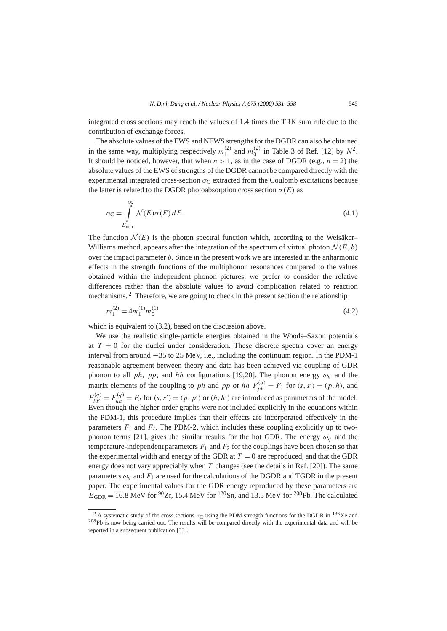integrated cross sections may reach the values of 1.4 times the TRK sum rule due to the contribution of exchange forces.

The absolute values of the EWS and NEWS strengths for the DGDR can also be obtained in the same way, multiplying respectively  $m_1^{(2)}$  and  $m_0^{(2)}$  in Table 3 of Ref. [12] by  $N^2$ . It should be noticed, however, that when  $n > 1$ , as in the case of DGDR (e.g.,  $n = 2$ ) the absolute values of the EWS of strengths of the DGDR cannot be compared directly with the experimental integrated cross-section  $\sigma_C$  extracted from the Coulomb excitations because the latter is related to the DGDR photoabsorption cross section  $\sigma(E)$  as

$$
\sigma_{\mathcal{C}} = \int_{E_{\min}}^{\infty} \mathcal{N}(E)\sigma(E) \, dE. \tag{4.1}
$$

The function  $\mathcal{N}(E)$  is the photon spectral function which, according to the Weisäker– Williams method, appears after the integration of the spectrum of virtual photon  $\mathcal{N}(E, b)$ over the impact parameter *b*. Since in the present work we are interested in the anharmonic effects in the strength functions of the multiphonon resonances compared to the values obtained within the independent phonon pictures, we prefer to consider the relative differences rather than the absolute values to avoid complication related to reaction mechanisms. <sup>2</sup> Therefore, we are going to check in the present section the relationship

$$
m_1^{(2)} = 4m_1^{(1)}m_0^{(1)}\tag{4.2}
$$

which is equivalent to  $(3.2)$ , based on the discussion above.

We use the realistic single-particle energies obtained in the Woods–Saxon potentials at  $T = 0$  for the nuclei under consideration. These discrete spectra cover an energy interval from around −35 to 25 MeV, i.e., including the continuum region. In the PDM-1 reasonable agreement between theory and data has been achieved via coupling of GDR phonon to all *ph*, *pp*, and *hh* configurations [19,20]. The phonon energy  $\omega_q$  and the matrix elements of the coupling to *ph* and *pp* or *hh*  $F_{ph}^{(q)} = F_1$  for  $(s, s') = (p, h)$ , and  $F_{pp}^{(q)} = F_{hh}^{(q)} = F_2$  for  $(s, s') = (p, p')$  or  $(h, h')$  are introduced as parameters of the model. Even though the higher-order graphs were not included explicitly in the equations within the PDM-1, this procedure implies that their effects are incorporated effectively in the parameters  $F_1$  and  $F_2$ . The PDM-2, which includes these coupling explicitly up to twophonon terms [21], gives the similar results for the hot GDR. The energy  $\omega_q$  and the temperature-independent parameters  $F_1$  and  $F_2$  for the couplings have been chosen so that the experimental width and energy of the GDR at  $T = 0$  are reproduced, and that the GDR energy does not vary appreciably when *T* changes (see the details in Ref. [20]). The same parameters  $\omega_q$  and  $F_1$  are used for the calculations of the DGDR and TGDR in the present paper. The experimental values for the GDR energy reproduced by these parameters are  $E_{\rm GDR} = 16.8$  MeV for <sup>90</sup>Zr, 15.4 MeV for <sup>120</sup>Sn, and 13.5 MeV for <sup>208</sup>Pb. The calculated

<sup>&</sup>lt;sup>2</sup> A systematic study of the cross sections  $\sigma_C$  using the PDM strength functions for the DGDR in <sup>136</sup>Xe and <sup>208</sup>Pb is now being carried out. The results will be compared directly with the experimental data and will be reported in a subsequent publication [33].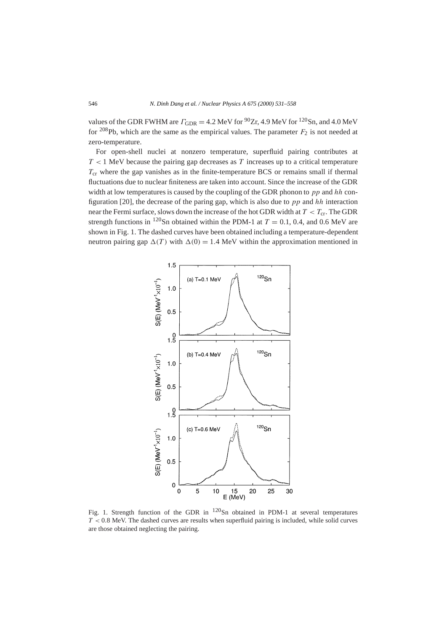values of the GDR FWHM are  $\Gamma_{\text{GDR}} = 4.2 \text{ MeV}$  for <sup>90</sup>Zr, 4.9 MeV for <sup>120</sup>Sn, and 4.0 MeV for  $208Pb$ , which are the same as the empirical values. The parameter  $F_2$  is not needed at zero-temperature.

For open-shell nuclei at nonzero temperature, superfluid pairing contributes at *T <* 1 MeV because the pairing gap decreases as *T* increases up to a critical temperature  $T_{cr}$  where the gap vanishes as in the finite-temperature BCS or remains small if thermal fluctuations due to nuclear finiteness are taken into account. Since the increase of the GDR width at low temperatures is caused by the coupling of the GDR phonon to *pp* and *hh* configuration [20], the decrease of the paring gap, which is also due to *pp* and *hh* interaction near the Fermi surface, slows down the increase of the hot GDR width at  $T < T_{cr}$ . The GDR strength functions in <sup>120</sup>Sn obtained within the PDM-1 at  $T = 0.1, 0.4$ , and 0.6 MeV are shown in Fig. 1. The dashed curves have been obtained including a temperature-dependent neutron pairing gap  $\Delta(T)$  with  $\Delta(0) = 1.4$  MeV within the approximation mentioned in



Fig. 1. Strength function of the GDR in  $120$ Sn obtained in PDM-1 at several temperatures *T <* 0*.*8 MeV. The dashed curves are results when superfluid pairing is included, while solid curves are those obtained neglecting the pairing.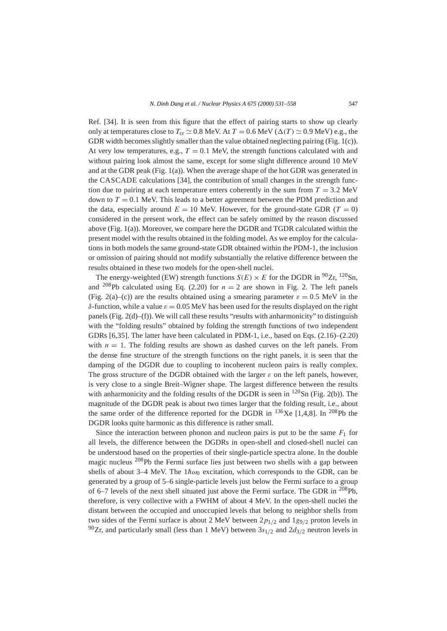Ref. [34]. It is seen from this figure that the effect of pairing starts to show up clearly only at temperatures close to  $T_{cr} \simeq 0.8$  MeV. At  $T = 0.6$  MeV ( $\Delta(T) \simeq 0.9$  MeV) e.g., the GDR width becomes slightly smaller than the value obtained neglecting pairing (Fig. 1(c)). At very low temperatures, e.g.,  $T = 0.1$  MeV, the strength functions calculated with and without pairing look almost the same, except for some slight difference around 10 MeV and at the GDR peak (Fig. 1(a)). When the average shape of the hot GDR was generated in the CASCADE calculations [34], the contribution of small changes in the strength function due to pairing at each temperature enters coherently in the sum from  $T = 3.2$  MeV down to  $T = 0.1$  MeV. This leads to a better agreement between the PDM prediction and the data, especially around  $E = 10$  MeV. However, for the ground-state GDR ( $T = 0$ ) considered in the present work, the effect can be safely omitted by the reason discussed above (Fig. 1(a)). Moreover, we compare here the DGDR and TGDR calculated within the present model with the results obtained in the folding model. As we employ for the calculations in both models the same ground-state GDR obtained within the PDM-1, the inclusion or omission of pairing should not modify substantially the relative difference between the results obtained in these two models for the open-shell nuclei.

The energy-weighted (EW) strength functions  $S(E) \times E$  for the DGDR in <sup>90</sup>Zr, <sup>120</sup>Sn, and <sup>208</sup>Pb calculated using Eq. (2.20) for  $n = 2$  are shown in Fig. 2. The left panels (Fig. 2(a)–(c)) are the results obtained using a smearing parameter  $\varepsilon = 0.5$  MeV in the *δ*-function, while a value  $ε = 0.05$  MeV has been used for the results displayed on the right panels (Fig. 2(d)–(f)). We will call these results "results with anharmonicity" to distinguish with the "folding results" obtained by folding the strength functions of two independent GDRs [6,35]. The latter have been calculated in PDM-1, i.e., based on Eqs. (2.16)–(2.20) with  $n = 1$ . The folding results are shown as dashed curves on the left panels. From the dense fine structure of the strength functions on the right panels, it is seen that the damping of the DGDR due to coupling to incoherent nucleon pairs is really complex. The gross structure of the DGDR obtained with the larger *ε* on the left panels, however, is very close to a single Breit–Wigner shape. The largest difference between the results with anharmonicity and the folding results of the DGDR is seen in  $^{120}Sn$  (Fig. 2(b)). The magnitude of the DGDR peak is about two times larger that the folding result, i.e., about the same order of the difference reported for the DGDR in  $^{136}$ Xe [1,4,8]. In  $^{208}$ Pb the DGDR looks quite harmonic as this difference is rather small.

Since the interaction between phonon and nucleon pairs is put to be the same  $F_1$  for all levels, the difference between the DGDRs in open-shell and closed-shell nuclei can be understood based on the properties of their single-particle spectra alone. In the double magic nucleus  $^{208}$ Pb the Fermi surface lies just between two shells with a gap between shells of about 3–4 MeV. The  $1\hbar\omega_0$  excitation, which corresponds to the GDR, can be generated by a group of 5–6 single-particle levels just below the Fermi surface to a group of 6–7 levels of the next shell situated just above the Fermi surface. The GDR in  $^{208}Pb$ , therefore, is very collective with a FWHM of about 4 MeV. In the open-shell nuclei the distant between the occupied and unoccupied levels that belong to neighbor shells from two sides of the Fermi surface is about 2 MeV between 2*p*1*/*<sup>2</sup> and 1*g*9*/*<sup>2</sup> proton levels in <sup>90</sup>Zr, and particularly small (less than 1 MeV) between  $3s_{1/2}$  and  $2d_{3/2}$  neutron levels in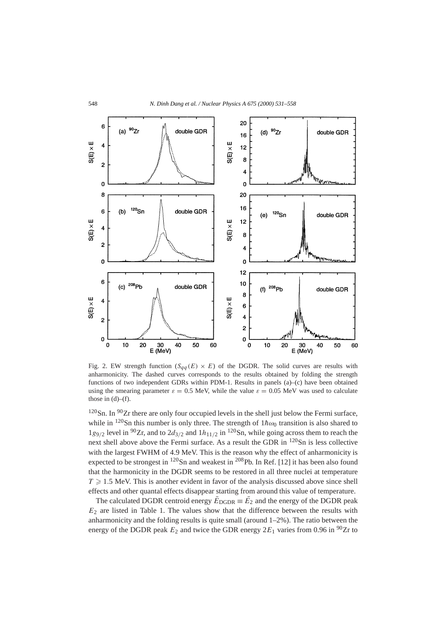

Fig. 2. EW strength function  $(S_{qq}(E) \times E)$  of the DGDR. The solid curves are results with anharmonicity. The dashed curves corresponds to the results obtained by folding the strength functions of two independent GDRs within PDM-1. Results in panels  $(a)$ – $(c)$  have been obtained using the smearing parameter  $\varepsilon = 0.5$  MeV, while the value  $\varepsilon = 0.05$  MeV was used to calculate those in  $(d)$ – $(f)$ .

 $120$ Sn. In  $90Zr$  there are only four occupied levels in the shell just below the Fermi surface, while in <sup>120</sup>Sn this number is only three. The strength of  $1\hbar\omega_0$  transition is also shared to  $1g_{9/2}$  level in <sup>90</sup>Zr, and to  $2d_{3/2}$  and  $1h_{11/2}$  in <sup>120</sup>Sn, while going across them to reach the next shell above above the Fermi surface. As a result the GDR in  $^{120}Sn$  is less collective with the largest FWHM of 4.9 MeV. This is the reason why the effect of anharmonicity is expected to be strongest in  $^{120}$ Sn and weakest in  $^{208}$ Pb. In Ref. [12] it has been also found that the harmonicity in the DGDR seems to be restored in all three nuclei at temperature  $T \geq 1.5$  MeV. This is another evident in favor of the analysis discussed above since shell effects and other quantal effects disappear starting from around this value of temperature.

The calculated DGDR centroid energy  $\bar{E}_{\text{DGDR}} \equiv \bar{E_2}$  and the energy of the DGDR peak  $E<sub>2</sub>$  are listed in Table 1. The values show that the difference between the results with anharmonicity and the folding results is quite small (around  $1-2\%$ ). The ratio between the energy of the DGDR peak  $E_2$  and twice the GDR energy  $2E_1$  varies from 0.96 in <sup>90</sup>Zr to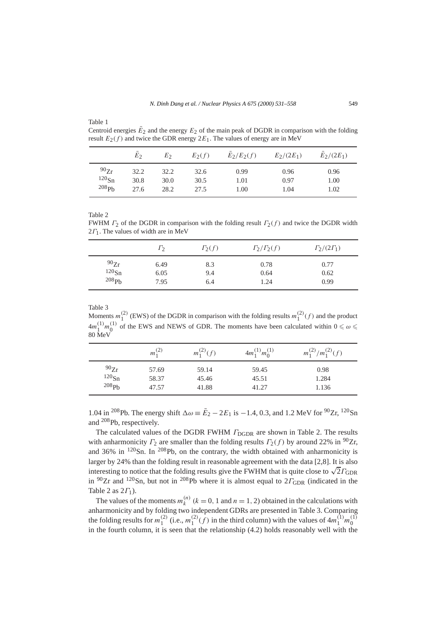Centroid energies  $\bar{E}_2$  and the energy  $E_2$  of the main peak of DGDR in comparison with the folding result  $E_2(f)$  and twice the GDR energy  $2E_1$ . The values of energy are in MeV

|          | $E_2$ | Eэ   | $E_2(f)$ | $E_2/E_2(f)$ | $E_2/(2E_1)$ | $E_2/(2E_1)$ |
|----------|-------|------|----------|--------------|--------------|--------------|
| 90Zr     | 32.2  | 32.2 | 32.6     | 0.99         | 0.96         | 0.96         |
| $120$ Sn | 30.8  | 30.0 | 30.5     | 1.01         | 0.97         | 1.00         |
| 208Ph    | 27.6  | 28.2 | 27.5     | 1.00         | 1.04         | 1.02         |

#### Table 2

FWHM *Γ*2 of the DGDR in comparison with the folding result *Γ*2*(f )* and twice the DGDR width 2*Γ*1. The values of width are in MeV

|                   | $\Gamma_2$ | $\Gamma_2(f)$ | $\Gamma_2/\Gamma_2(f)$ | $\Gamma_2/(2\Gamma_1)$ |
|-------------------|------------|---------------|------------------------|------------------------|
| 90Zr              | 6.49       | 8.3           | 0.78                   | 0.77                   |
| $120$ Sn          | 6.05       | 9.4           | 0.64                   | 0.62                   |
| 208P <sub>b</sub> | 7.95       | 6.4           | 1.24                   | 0.99                   |

#### Table 3

Moments  $m_1^{(2)}$  (EWS) of the DGDR in comparison with the folding results  $m_1^{(2)}(f)$  and the product  $4m_1^{(1)}m_0^{(1)}$  of the EWS and NEWS of GDR. The moments have been calculated within  $0 \le \omega \le 6$ 80 MeV

|          | $m_1^{(2)}$ | $m_1^{(2)}(f)$ | $4m_1^{(1)}m_0^{(1)}$ | $m_1^{(2)}/m_1^{(2)}(f)$ |
|----------|-------------|----------------|-----------------------|--------------------------|
| 90Zr     | 57.69       | 59.14          | 59.45                 | 0.98                     |
| $120$ Sn | 58.37       | 45.46          | 45.51                 | 1.284                    |
| $208$ Ph | 47.57       | 41.88          | 41.27                 | 1.136                    |

1.04 in <sup>208</sup>Pb. The energy shift  $\Delta \omega = \bar{E}_2 - 2E_1$  is −1.4, 0.3, and 1.2 MeV for <sup>90</sup>Zr, <sup>120</sup>Sn and <sup>208</sup>Pb, respectively.

The calculated values of the DGDR FWHM  $\Gamma_{\text{DGDR}}$  are shown in Table 2. The results with anharmonicity  $\Gamma_2$  are smaller than the folding results  $\Gamma_2(f)$  by around 22% in <sup>90</sup>Zr, and  $36\%$  in  $120\text{Sn}$ . In  $208\text{Pb}$ , on the contrary, the width obtained with anharmonicity is larger by 24% than the folding result in reasonable agreement with the data [2,8]. It is also larger by 24% than the folding result in reasonable agreement with the data [2,8]. It is also<br>interesting to notice that the folding results give the FWHM that is quite close to  $\sqrt{2} \Gamma_{\text{GDR}}$ in  $90Zr$  and  $120Sn$ , but not in  $208Pb$  where it is almost equal to  $2\Gamma_{\text{GDR}}$  (indicated in the Table 2 as 2*Γ*1).

The values of the moments  $m_k^{(n)}$  ( $k = 0, 1$  and  $n = 1, 2$ ) obtained in the calculations with anharmonicity and by folding two independent GDRs are presented in Table 3. Comparing the folding results for  $m_1^{(2)}$  (i.e.,  $m_1^{(2)}(f)$  in the third column) with the values of  $4m_1^{(1)}m_0^{(1)}$ in the fourth column, it is seen that the relationship (4.2) holds reasonably well with the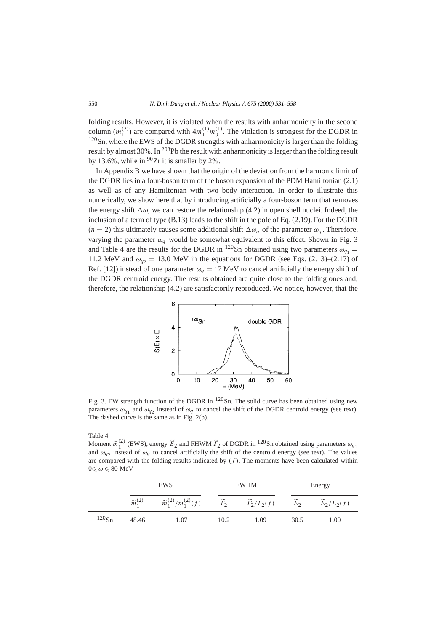folding results. However, it is violated when the results with anharmonicity in the second column  $(m_1^{(2)})$  are compared with  $4m_1^{(1)}m_0^{(1)}$ . The violation is strongest for the DGDR in  $120$ Sn, where the EWS of the DGDR strengths with anharmonicity is larger than the folding result by almost  $30\%$ . In  $^{208}Pb$  the result with anharmonicity is larger than the folding result by 13.6%, while in  $90Zr$  it is smaller by 2%.

In Appendix B we have shown that the origin of the deviation from the harmonic limit of the DGDR lies in a four-boson term of the boson expansion of the PDM Hamiltonian (2.1) as well as of any Hamiltonian with two body interaction. In order to illustrate this numerically, we show here that by introducing artificially a four-boson term that removes the energy shift  $\Delta\omega$ , we can restore the relationship (4.2) in open shell nuclei. Indeed, the inclusion of a term of type (B.13) leads to the shift in the pole of Eq. (2.19). For the DGDR  $(n = 2)$  this ultimately causes some additional shift  $\Delta \omega_q$  of the parameter  $\omega_q$ . Therefore, varying the parameter  $\omega_a$  would be somewhat equivalent to this effect. Shown in Fig. 3 and Table 4 are the results for the DGDR in <sup>120</sup>Sn obtained using two parameters  $\omega_{q_1} =$ 11.2 MeV and  $\omega_{q_2} = 13.0$  MeV in the equations for DGDR (see Eqs. (2.13)–(2.17) of Ref. [12]) instead of one parameter  $\omega_q = 17$  MeV to cancel artificially the energy shift of the DGDR centroid energy. The results obtained are quite close to the folding ones and, therefore, the relationship (4.2) are satisfactorily reproduced. We notice, however, that the



Fig. 3. EW strength function of the DGDR in  $120$ Sn. The solid curve has been obtained using new parameters  $\omega_{q_1}$  and  $\omega_{q_2}$  instead of  $\omega_q$  to cancel the shift of the DGDR centroid energy (see text). The dashed curve is the same as in Fig. 2(b).

Table 4

Moment  $\widetilde{m}_1^{(2)}$  (EWS), energy  $\widetilde{E}_2$  and FHWM  $\widetilde{F}_2$  of DGDR in <sup>120</sup>Sn obtained using parameters  $\omega_{q_1}$ and  $\omega_{q_2}$  instead of  $\omega_q$  to cancel artificially the shift of the centroid energy (see text). The values are compared with the folding results indicated by  $(f)$ . The moments have been calculated within  $0 \leq \omega \leq 80$  MeV

|          |                         | <b>EWS</b>                           |                        | <b>FWHM</b>                        | Energy            |                          |  |
|----------|-------------------------|--------------------------------------|------------------------|------------------------------------|-------------------|--------------------------|--|
|          | $\widetilde{m}_1^{(2)}$ | $\widetilde{m}_1^{(2)}/m_1^{(2)}(f)$ | $\widetilde{\Gamma}_2$ | $\widetilde{\Gamma}_2/\Gamma_2(f)$ | $\widetilde{E}_2$ | $\widetilde{E}_2/E_2(f)$ |  |
| $120$ Sn | 48.46                   | 1.07                                 | 10.2                   | 1.09                               | 30.5              | 1.00                     |  |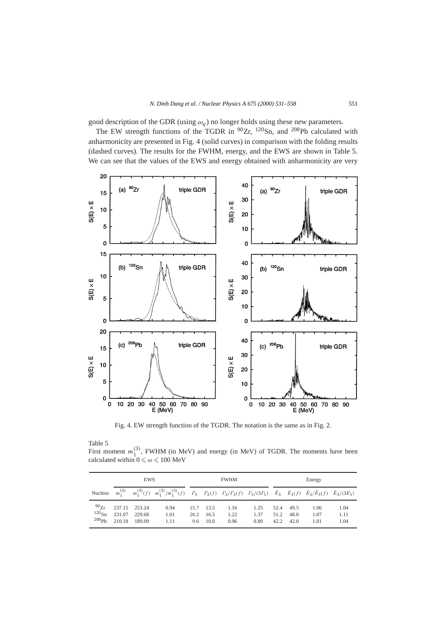good description of the GDR (using  $\omega_q$ ) no longer holds using these new parameters.

The EW strength functions of the TGDR in  $90Zr$ ,  $120Sn$ , and  $208Pb$  calculated with anharmonicity are presented in Fig. 4 (solid curves) in comparison with the folding results (dashed curves). The results for the FWHM, energy, and the EWS are shown in Table 5. We can see that the values of the EWS and energy obtained with anharmonicity are very



Fig. 4. EW strength function of the TGDR. The notation is the same as in Fig. 2.

Table 5

First moment  $m_1^{(3)}$ , FWHM (in MeV) and energy (in MeV) of TGDR. The moments have been calculated within  $0 \le \omega \le 100$  MeV

|                                                 | EWS              |                                   |                                                                                                                                                                                                                                                                                                                                               | <b>FWHM</b>         |                      |                      |                      | Energy               |                      |                      |                      |
|-------------------------------------------------|------------------|-----------------------------------|-----------------------------------------------------------------------------------------------------------------------------------------------------------------------------------------------------------------------------------------------------------------------------------------------------------------------------------------------|---------------------|----------------------|----------------------|----------------------|----------------------|----------------------|----------------------|----------------------|
| Nucleus                                         |                  |                                   | $m_1^{(3)} \hspace{0.5cm} m_1^{(3)}(f) \hspace{0.5cm} m_1^{(3)}/m_1^{(3)}(f) \hspace{0.5cm} \Gamma_3 \hspace{0.5cm} \Gamma_3(f) \hspace{0.5cm} \Gamma_3/\Gamma_3(f) \hspace{0.5cm} \Gamma_3/(3\Gamma_1) \hspace{0.5cm} \tilde{E}_3 \hspace{0.5cm} \tilde{E}_3(f) \hspace{0.5cm} \tilde{E}_3/\tilde{E}_3(f) \hspace{0.5cm} \tilde{E}_3/(3E_1)$ |                     |                      |                      |                      |                      |                      |                      |                      |
| 90Zr<br>$120_{\text{Sn}}$<br>$208\,\mathrm{ph}$ | 231.07<br>210.18 | 237.15 253.24<br>229.68<br>189.09 | 0.94<br>1.01<br>1.11                                                                                                                                                                                                                                                                                                                          | 15.7<br>20.2<br>9.6 | 13.5<br>16.5<br>10.0 | 1.16<br>1.22<br>0.96 | 1.25<br>1.37<br>0.80 | 52.4<br>51.2<br>42.2 | 49.5<br>48.0<br>42.0 | 1.06<br>1.07<br>1.01 | 1.04<br>1.11<br>1.04 |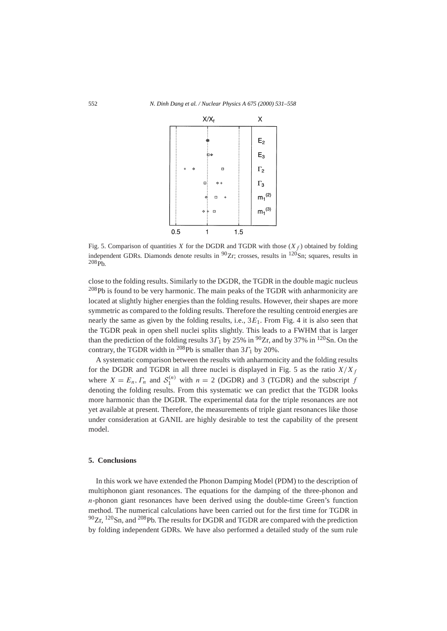

Fig. 5. Comparison of quantities *X* for the DGDR and TGDR with those  $(X_f)$  obtained by folding independent GDRs. Diamonds denote results in  $90Zr$ ; crosses, results in  $120Sn$ ; squares, results in  $208\,\text{ph}$ 

close to the folding results. Similarly to the DGDR, the TGDR in the double magic nucleus <sup>208</sup>Pb is found to be very harmonic. The main peaks of the TGDR with anharmonicity are located at slightly higher energies than the folding results. However, their shapes are more symmetric as compared to the folding results. Therefore the resulting centroid energies are nearly the same as given by the folding results, i.e., 3*E*1. From Fig. 4 it is also seen that the TGDR peak in open shell nuclei splits slightly. This leads to a FWHM that is larger than the prediction of the folding results  $3\Gamma_1$  by 25% in <sup>90</sup>Zr, and by 37% in <sup>120</sup>Sn. On the contrary, the TGDR width in 208Pb is smaller than 3*Γ*<sup>1</sup> by 20%.

A systematic comparison between the results with anharmonicity and the folding results for the DGDR and TGDR in all three nuclei is displayed in Fig. 5 as the ratio  $X/X_f$ where  $X = E_n$ ,  $\Gamma_n$  and  $S_1^{(n)}$  with  $n = 2$  (DGDR) and 3 (TGDR) and the subscript *f* denoting the folding results. From this systematic we can predict that the TGDR looks more harmonic than the DGDR. The experimental data for the triple resonances are not yet available at present. Therefore, the measurements of triple giant resonances like those under consideration at GANIL are highly desirable to test the capability of the present model.

## **5. Conclusions**

In this work we have extended the Phonon Damping Model (PDM) to the description of multiphonon giant resonances. The equations for the damping of the three-phonon and *n*-phonon giant resonances have been derived using the double-time Green's function method. The numerical calculations have been carried out for the first time for TGDR in  $90Zr$ ,  $120Sn$ , and  $208Pb$ . The results for DGDR and TGDR are compared with the prediction by folding independent GDRs. We have also performed a detailed study of the sum rule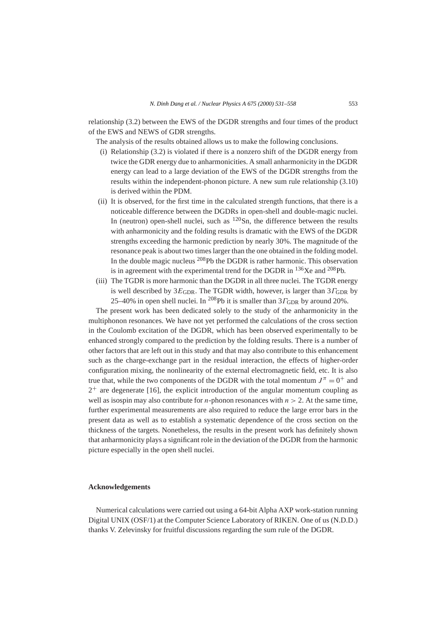relationship (3.2) between the EWS of the DGDR strengths and four times of the product of the EWS and NEWS of GDR strengths.

The analysis of the results obtained allows us to make the following conclusions.

- (i) Relationship (3.2) is violated if there is a nonzero shift of the DGDR energy from twice the GDR energy due to anharmonicities. A small anharmonicity in the DGDR energy can lead to a large deviation of the EWS of the DGDR strengths from the results within the independent-phonon picture. A new sum rule relationship (3.10) is derived within the PDM.
- (ii) It is observed, for the first time in the calculated strength functions, that there is a noticeable difference between the DGDRs in open-shell and double-magic nuclei. In (neutron) open-shell nuclei, such as  $120$ Sn, the difference between the results with anharmonicity and the folding results is dramatic with the EWS of the DGDR strengths exceeding the harmonic prediction by nearly 30%. The magnitude of the resonance peak is about two times larger than the one obtained in the folding model. In the double magic nucleus  $^{208}Pb$  the DGDR is rather harmonic. This observation is in agreement with the experimental trend for the DGDR in  $^{136}$ Xe and  $^{208}$ Pb.
- (iii) The TGDR is more harmonic than the DGDR in all three nuclei. The TGDR energy is well described by  $3E_{GDR}$ . The TGDR width, however, is larger than  $3\Gamma_{GDR}$  by 25–40% in open shell nuclei. In <sup>208</sup>Pb it is smaller than  $3\Gamma_{\text{GDR}}$  by around 20%.

The present work has been dedicated solely to the study of the anharmonicity in the multiphonon resonances. We have not yet performed the calculations of the cross section in the Coulomb excitation of the DGDR, which has been observed experimentally to be enhanced strongly compared to the prediction by the folding results. There is a number of other factors that are left out in this study and that may also contribute to this enhancement such as the charge-exchange part in the residual interaction, the effects of higher-order configuration mixing, the nonlinearity of the external electromagnetic field, etc. It is also true that, while the two components of the DGDR with the total momentum  $J^{\pi} = 0^{+}$  and  $2^+$  are degenerate [16], the explicit introduction of the angular momentum coupling as well as isospin may also contribute for *n*-phonon resonances with  $n > 2$ . At the same time, further experimental measurements are also required to reduce the large error bars in the present data as well as to establish a systematic dependence of the cross section on the thickness of the targets. Nonetheless, the results in the present work has definitely shown that anharmonicity plays a significant role in the deviation of the DGDR from the harmonic picture especially in the open shell nuclei.

## **Acknowledgements**

Numerical calculations were carried out using a 64-bit Alpha AXP work-station running Digital UNIX (OSF/1) at the Computer Science Laboratory of RIKEN. One of us (N.D.D.) thanks V. Zelevinsky for fruitful discussions regarding the sum rule of the DGDR.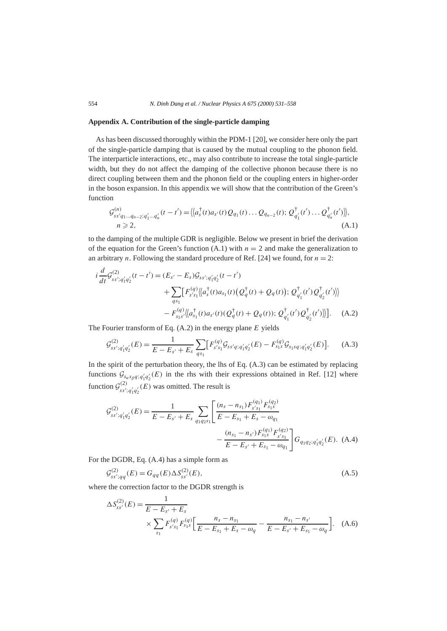## **Appendix A. Contribution of the single-particle damping**

As has been discussed thoroughly within the PDM-1 [20], we consider here only the part of the single-particle damping that is caused by the mutual coupling to the phonon field. The interparticle interactions, etc., may also contribute to increase the total single-particle width, but they do not affect the damping of the collective phonon because there is no direct coupling between them and the phonon field or the coupling enters in higher-order in the boson expansion. In this appendix we will show that the contribution of the Green's function

$$
\mathcal{G}_{ss'q_1\ldots q_{n-2};q'_1\ldots q'_n}^{(n)}(t-t') = \langle a_s^{\dagger}(t)a_{s'}(t)Q_{q_1}(t)\ldots Q_{q_{n-2}}(t); \mathcal{Q}_{q'_1}^{\dagger}(t')\ldots \mathcal{Q}_{q'_n}^{\dagger}(t')\rangle\rangle, \nn \ge 2,
$$
\n(A.1)

to the damping of the multiple GDR is negligible. Below we present in brief the derivation of the equation for the Green's function  $(A.1)$  with  $n = 2$  and make the generalization to an arbitrary *n*. Following the standard procedure of Ref. [24] we found, for  $n = 2$ :

$$
i\frac{d}{dt}\mathcal{G}_{ss';q'_1q'_2}^{(2)}(t-t') = (E_{s'} - E_s)\mathcal{G}_{ss';q'_1q'_2}(t-t')
$$
  
+ 
$$
\sum_{qs_1} [F_{s's_1}^{(q)} \langle \langle a_s^{\dagger}(t)a_{s_1}(t) \left( \mathcal{Q}_q^{\dagger}(t) + \mathcal{Q}_q(t) \right); \mathcal{Q}_{q'_1}^{\dagger}(t')\mathcal{Q}_{q'_2}^{\dagger}(t') \rangle ]
$$
  
- 
$$
F_{s_1s'}^{(q)} \langle \langle a_{s_1}^{\dagger}(t)a_{s'}(t) \left( \mathcal{Q}_q^{\dagger}(t) + \mathcal{Q}_q(t) \right); \mathcal{Q}_{q'_1}^{\dagger}(t')\mathcal{Q}_{q'_2}^{\dagger}(t') \rangle ].
$$
 (A.2)

The Fourier transform of Eq. (A.2) in the energy plane *E* yields

$$
\mathcal{G}_{ss';q'_{1}q'_{2}}^{(2)}(E) = \frac{1}{E - E_{s'} + E_{s}} \sum_{qs_{1}} \left[ F_{s's_{1}}^{(q)} \mathcal{G}_{ss'q;q'_{1}q'_{2}}(E) - F_{s_{1}s}^{(q)} \mathcal{G}_{s_{1}sq;q'_{1}q'_{2}}(E) \right]. \tag{A.3}
$$

In the spirit of the perturbation theory, the lhs of Eq. (A.3) can be estimated by replacing functions  $\mathcal{G}_{s_\alpha s_\beta q; q'_1 q'_2}(E)$  in the rhs with their expressions obtained in Ref. [12] where function  $G_{ss';q'_1q'_2}^{(2)}(E)$  was omitted. The result is

$$
\mathcal{G}_{ss';q'_{1}q'_{2}}^{(2)}(E) = \frac{1}{E - E_{s'} + E_{s}} \sum_{q_{1}q_{2}s_{1}} \left[ \frac{(n_{s} - n_{s_{1}})F_{s's_{1}}^{(q_{1})}F_{s_{1}s}^{(q_{2})}}{E - E_{s_{1}} + E_{s} - \omega_{q_{1}}} - \frac{(n_{s_{1}} - n_{s'})F_{s's_{1}}^{(q_{1})}F_{s's_{1}}^{(q_{2})}}{E - E_{s'} + E_{s_{1}} - \omega_{q_{1}}} \right] G_{q_{1}q_{2};q'_{1}q'_{2}}(E). \tag{A.4}
$$

For the DGDR, Eq. (A.4) has a simple form as

$$
\mathcal{G}_{ss';qq}^{(2)}(E) = G_{qq}(E) \Delta S_{ss'}^{(2)}(E),\tag{A.5}
$$

where the correction factor to the DGDR strength is

$$
\Delta S_{ss'}^{(2)}(E) = \frac{1}{E - E_{s'} + E_s}
$$
  
 
$$
\times \sum_{s_1} F_{s's_1}^{(q)} F_{s_1s}^{(q)} \left[ \frac{n_s - n_{s_1}}{E - E_{s_1} + E_s - \omega_q} - \frac{n_{s_1} - n_{s'}}{E - E_{s'} + E_{s_1} - \omega_q} \right].
$$
 (A.6)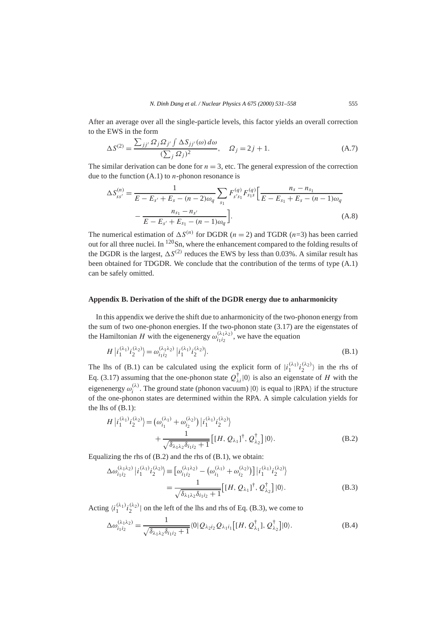After an average over all the single-particle levels, this factor yields an overall correction to the EWS in the form

$$
\Delta S^{(2)} = \frac{\sum_{jj'} \Omega_j \Omega_{j'} \int \Delta S_{jj'}(\omega) d\omega}{(\sum_j \Omega_j)^2}, \quad \Omega_j = 2j + 1.
$$
 (A.7)

The similar derivation can be done for  $n = 3$ , etc. The general expression of the correction due to the function  $(A,1)$  to *n*-phonon resonance is

$$
\Delta S_{ss'}^{(n)} = \frac{1}{E - E_{s'} + E_s - (n - 2)\omega_q} \sum_{s_1} F_{s's_1}^{(q)} F_{s_1s}^{(q)} \left[ \frac{n_s - n_{s_1}}{E - E_{s_1} + E_s - (n - 1)\omega_q} - \frac{n_{s_1} - n_{s'}}{E - E_{s'} + E_{s_1} - (n - 1)\omega_q} \right].
$$
\n(A.8)

The numerical estimation of  $\Delta S^{(n)}$  for DGDR (*n* = 2) and TGDR (*n*=3) has been carried out for all three nuclei. In <sup>120</sup>Sn, where the enhancement compared to the folding results of the DGDR is the largest,  $\Delta S^{(2)}$  reduces the EWS by less than 0.03%. A similar result has been obtained for TDGDR. We conclude that the contribution of the terms of type (A.1) can be safely omitted.

## **Appendix B. Derivation of the shift of the DGDR energy due to anharmonicity**

In this appendix we derive the shift due to anharmonicity of the two-phonon energy from the sum of two one-phonon energies. If the two-phonon state (3.17) are the eigenstates of the Hamiltonian *H* with the eigenenergy  $\omega_{i_1 i_2}^{(\lambda_1 \lambda_2)}$ , we have the equation

$$
H |i_1^{(\lambda_1)} i_2^{(\lambda_2)}\rangle = \omega_{i_1 i_2}^{(\lambda_1 \lambda_2)} |i_1^{(\lambda_1)} i_2^{(\lambda_2)}\rangle.
$$
 (B.1)

The lhs of (B.1) can be calculated using the explicit form of  $|i_1^{(\lambda_1)}i_2^{(\lambda_2)}\rangle$  in the rhs of Eq. (3.17) assuming that the one-phonon state  $Q^{\dagger}_{\lambda i}|0\rangle$  is also an eigenstate of *H* with the eigenenergy  $\omega_i^{(\lambda)}$ . The ground state (phonon vacuum)  $|0\rangle$  is equal to  $|RPA\rangle$  if the structure of the one-phonon states are determined within the RPA. A simple calculation yields for the lhs of (B.1):

$$
H |i_1^{(\lambda_1)} i_2^{(\lambda_2)}\rangle = (\omega_{i_1}^{(\lambda_1)} + \omega_{i_2}^{(\lambda_2)}) |i_1^{(\lambda_1)} i_2^{(\lambda_2)}\rangle
$$
  
+ 
$$
\frac{1}{\sqrt{\delta_{\lambda_1 \lambda_2} \delta_{i_1 i_2} + 1}} [[H, Q_{\lambda_1}]^\dagger, Q_{\lambda_2}^\dagger] |0\rangle.
$$
 (B.2)

Equalizing the rhs of  $(B.2)$  and the rhs of  $(B.1)$ , we obtain:

$$
\Delta \omega_{i_1 i_2}^{(\lambda_1 \lambda_2)} |i_1^{(\lambda_1)} i_2^{(\lambda_2)}\rangle \equiv \left[\omega_{i_1 i_2}^{(\lambda_1 \lambda_2)} - (\omega_{i_1}^{(\lambda_1)} + \omega_{i_2}^{(\lambda_2)})\right] |i_1^{(\lambda_1)} i_2^{(\lambda_2)}\rangle
$$
  
= 
$$
\frac{1}{\sqrt{\delta_{\lambda_1 \lambda_2} \delta_{i_1 i_2} + 1}} \left[ [H, Q_{\lambda_1}]^\dagger, Q_{\lambda_2}^\dagger \right] |0\rangle.
$$
 (B.3)

Acting  $\langle i_1^{(\lambda_1)} i_2^{(\lambda_2)} \rangle$  on the left of the lhs and rhs of Eq. (B.3), we come to

$$
\Delta \omega_{i_1 i_2}^{(\lambda_1 \lambda_2)} = \frac{1}{\sqrt{\delta_{\lambda_1 \lambda_2} \delta_{i_1 i_2} + 1}} \langle 0 | Q_{\lambda_2 i_2} Q_{\lambda_1 i_1} \big[ [H, Q_{\lambda_1}^{\dagger}], Q_{\lambda_2}^{\dagger} \big] | 0 \rangle. \tag{B.4}
$$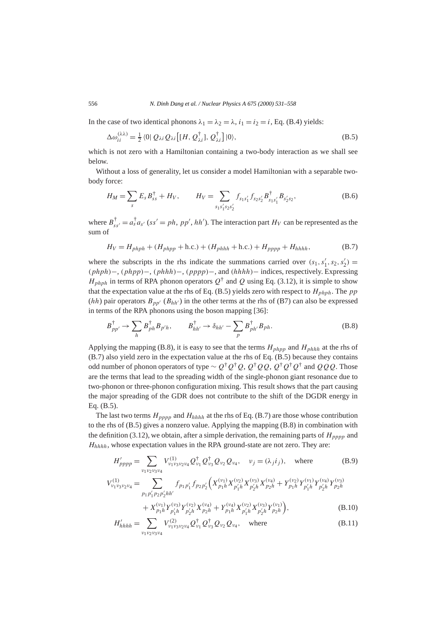In the case of two identical phonons  $\lambda_1 = \lambda_2 = \lambda$ ,  $i_1 = i_2 = i$ , Eq. (B.4) yields:

$$
\Delta \omega_{ii}^{(\lambda \lambda)} = \frac{1}{2} \langle 0 | Q_{\lambda i} Q_{\lambda i} \left[ [H, Q_{\lambda i}^{\dagger}], Q_{\lambda i}^{\dagger} \right] | 0 \rangle, \tag{B.5}
$$

which is not zero with a Hamiltonian containing a two-body interaction as we shall see below.

Without a loss of generality, let us consider a model Hamiltonian with a separable twobody force:

$$
H_M = \sum_{s} E_s B_{ss}^{\dagger} + H_V, \qquad H_V = \sum_{s_1 s_1' s_2 s_2'} f_{s_1 s_1'} f_{s_2 s_2'} B_{s_1 s_1'}^{\dagger} B_{s_2' s_2}, \qquad (B.6)
$$

where  $B_{ss'}^{\dagger} = a_s^{\dagger} a_{s'}$  (ss' = ph, pp', hh'). The interaction part  $H_V$  can be represented as the sum of

$$
H_V = H_{phph} + (H_{phpp} + \text{h.c.}) + (H_{phhh} + \text{h.c.}) + H_{pppp} + H_{hhh},
$$
 (B.7)

where the subscripts in the rhs indicate the summations carried over  $(s_1, s'_1, s_2, s'_2)$  = *(phph)*−, *(phpp)*−, *(phhh)*−, *(pppp)*−, and *(hhhh)*− indices, respectively. Expressing  $H_{phph}$  in terms of RPA phonon operators  $Q^{\dagger}$  and  $Q$  using Eq. (3.12), it is simple to show that the expectation value at the rhs of Eq.  $(B.5)$  yields zero with respect to  $H_{phph}$ . The pp  $(hh)$  pair operators  $B_{pp'}$   $(B_{hh'})$  in the other terms at the rhs of (B7) can also be expressed in terms of the RPA phonons using the boson mapping [36]:

$$
B_{pp'}^{\dagger} \rightarrow \sum_{h} B_{ph}^{\dagger} B_{p'h}, \qquad B_{hh'}^{\dagger} \rightarrow \delta_{hh'} - \sum_{p} B_{ph'}^{\dagger} B_{ph}.
$$
 (B.8)

Applying the mapping (B.8), it is easy to see that the terms  $H_{phpp}$  and  $H_{phhh}$  at the rhs of (B.7) also yield zero in the expectation value at the rhs of Eq. (B.5) because they contains odd number of phonon operators of type ∼ *Q*†*Q*†*Q*, *Q*†*QQ*, *Q*†*Q*†*Q*† and *QQQ*. Those are the terms that lead to the spreading width of the single-phonon giant resonance due to two-phonon or three-phonon configuration mixing. This result shows that the part causing the major spreading of the GDR does not contribute to the shift of the DGDR energy in Eq. (B.5).

The last two terms *Hpppp* and *Hhhhh* at the rhs of Eq. (B.7) are those whose contribution to the rhs of (B.5) gives a nonzero value. Applying the mapping (B.8) in combination with the definition (3.12), we obtain, after a simple derivation, the remaining parts of  $H_{pppp}$  and *Hhhhh*, whose expectation values in the RPA ground-state are not zero. They are:

$$
H'_{pppp} = \sum_{\nu_1 \nu_2 \nu_3 \nu_4} V^{(1)}_{\nu_1 \nu_3 \nu_2 \nu_4} Q^{\dagger}_{\nu_1} Q^{\dagger}_{\nu_3} Q_{\nu_2} Q_{\nu_4}, \quad \nu_j = (\lambda_j i_j), \quad \text{where}
$$
 (B.9)

$$
V_{\nu_1\nu_3\nu_2\nu_4}^{(1)} = \sum_{p_1p'_1p_2p'_2hh'} f_{p_1p'_1} f_{p_2p'_2} \Big( X_{p_1h}^{(\nu_1)} X_{p'_1h}^{(\nu_2)} X_{p'_2h}^{(\nu_3)} X_{p_2h}^{(\nu_4)} + Y_{p_1h}^{(\nu_2)} Y_{p'_1h}^{(\nu_1)} Y_{p'_2h}^{(\nu_3)} Y_{p_2h}^{(\nu_3)} + X_{p_1h}^{(\nu_1)} Y_{p'_1h}^{(\nu_3)} Y_{p'_2h}^{(\nu_2)} X_{p_2h}^{(\nu_4)} + Y_{p_1h}^{(\nu_4)} X_{p'_1h}^{(\nu_2)} X_{p'_2h}^{(\nu_3)} Y_{p_2h}^{(\nu_1)} \Big),
$$
\n(B.10)

$$
H'_{hhh} = \sum_{\nu_1 \nu_2 \nu_3 \nu_4} V^{(2)}_{\nu_1 \nu_3 \nu_2 \nu_4} Q^{\dagger}_{\nu_1} Q^{\dagger}_{\nu_3} Q_{\nu_2} Q_{\nu_4}, \quad \text{where}
$$
 (B.11)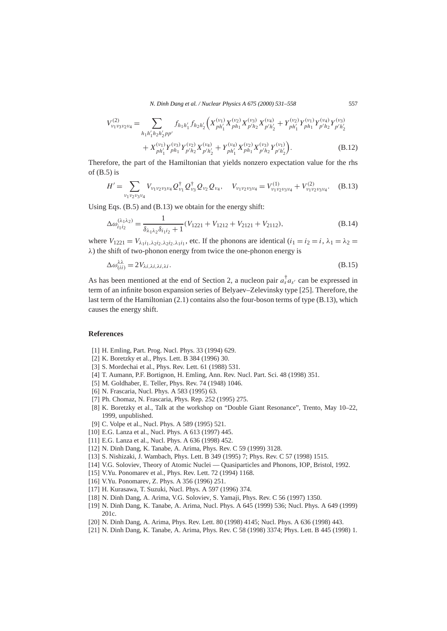*N. Dinh Dang et al. / Nuclear Physics A 675 (2000) 531–558* 557

$$
V_{\nu_1\nu_3\nu_2\nu_4}^{(2)} = \sum_{h_1h'_1h_2h'_2pp'} f_{h_1h'_1}f_{h_2h'_2} \Big(X_{ph'_1}^{(\nu_1)}X_{ph_1}^{(\nu_2)}X_{p'h'_2}^{(\nu_3)} + Y_{ph'_1}^{(\nu_2)}Y_{ph_1}^{(\nu_1)}Y_{p'h_2}^{(\nu_4)}Y_{p'h'_2}^{(\nu_3)} + X_{ph'_1}^{(\nu_1)}Y_{ph_1}^{(\nu_3)}Y_{p'h_1}^{(\nu_2)}Y_{p'h'_2}^{(\nu_4)} + Y_{ph'_1}^{(\nu_4)}Y_{p'h_2}^{(\nu_2)}Y_{p'h'_2}^{(\nu_4)} + Y_{ph'_1}^{(\nu_4)}Y_{ph_1}^{(\nu_2)}Y_{p'h'_2}^{(\nu_3)}Y_{p'h'_2}^{(\nu_1)}\Big).
$$
\n(B.12)

Therefore, the part of the Hamiltonian that yields nonzero expectation value for the rhs of  $(B.5)$  is

$$
H' = \sum_{\nu_1 \nu_2 \nu_3 \nu_4} V_{\nu_1 \nu_2 \nu_3 \nu_4} Q_{\nu_1}^{\dagger} Q_{\nu_3}^{\dagger} Q_{\nu_2} Q_{\nu_4}, \quad V_{\nu_1 \nu_2 \nu_3 \nu_4} = V_{\nu_1 \nu_2 \nu_3 \nu_4}^{(1)} + V_{\nu_1 \nu_2 \nu_3 \nu_4}^{(2)}.
$$
 (B.13)

Using Eqs. (B.5) and (B.13) we obtain for the energy shift:

$$
\Delta \omega_{i_1 i_2}^{(\lambda_1 \lambda_2)} = \frac{1}{\delta_{\lambda_1 \lambda_2} \delta_{i_1 i_2} + 1} (V_{1221} + V_{1212} + V_{2121} + V_{2112}),
$$
\n(B.14)

where  $V_{1221} = V_{\lambda_1 i_1, \lambda_2 i_2, \lambda_3 i_4}$ , etc. If the phonons are identical  $(i_1 = i_2 = i, \lambda_1 = \lambda_2 = i_4$ *λ*) the shift of two-phonon energy from twice the one-phonon energy is

$$
\Delta \omega_{(ii)}^{\lambda \lambda} = 2V_{\lambda i, \lambda i, \lambda i, \lambda i}.
$$
\n(B.15)

As has been mentioned at the end of Section 2, a nucleon pair  $a_s^{\dagger} a_{s'}$  can be expressed in term of an infinite boson expansion series of Belyaev–Zelevinsky type [25]. Therefore, the last term of the Hamiltonian (2.1) contains also the four-boson terms of type (B.13), which causes the energy shift.

## **References**

- [1] H. Emling, Part. Prog. Nucl. Phys. 33 (1994) 629.
- [2] K. Boretzky et al., Phys. Lett. B 384 (1996) 30.
- [3] S. Mordechai et al., Phys. Rev. Lett. 61 (1988) 531.
- [4] T. Aumann, P.F. Bortignon, H. Emling, Ann. Rev. Nucl. Part. Sci. 48 (1998) 351.
- [5] M. Goldhaber, E. Teller, Phys. Rev. 74 (1948) 1046.
- [6] N. Frascaria, Nucl. Phys. A 583 (1995) 63.
- [7] Ph. Chomaz, N. Frascaria, Phys. Rep. 252 (1995) 275.
- [8] K. Boretzky et al., Talk at the workshop on "Double Giant Resonance", Trento, May 10–22, 1999, unpublished.
- [9] C. Volpe et al., Nucl. Phys. A 589 (1995) 521.
- [10] E.G. Lanza et al., Nucl. Phys. A 613 (1997) 445.
- [11] E.G. Lanza et al., Nucl. Phys. A 636 (1998) 452.
- [12] N. Dinh Dang, K. Tanabe, A. Arima, Phys. Rev. C 59 (1999) 3128.
- [13] S. Nishizaki, J. Wambach, Phys. Lett. B 349 (1995) 7; Phys. Rev. C 57 (1998) 1515.
- [14] V.G. Soloviev, Theory of Atomic Nuclei Quasiparticles and Phonons, IOP, Bristol, 1992.
- [15] V.Yu. Ponomarev et al., Phys. Rev. Lett. 72 (1994) 1168.
- [16] V.Yu. Ponomarev, Z. Phys. A 356 (1996) 251.
- [17] H. Kurasawa, T. Suzuki, Nucl. Phys. A 597 (1996) 374.
- [18] N. Dinh Dang, A. Arima, V.G. Soloviev, S. Yamaji, Phys. Rev. C 56 (1997) 1350.
- [19] N. Dinh Dang, K. Tanabe, A. Arima, Nucl. Phys. A 645 (1999) 536; Nucl. Phys. A 649 (1999) 201c.
- [20] N. Dinh Dang, A. Arima, Phys. Rev. Lett. 80 (1998) 4145; Nucl. Phys. A 636 (1998) 443.
- [21] N. Dinh Dang, K. Tanabe, A. Arima, Phys. Rev. C 58 (1998) 3374; Phys. Lett. B 445 (1998) 1.